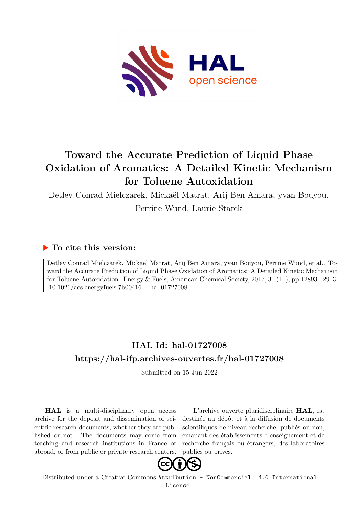

# **Toward the Accurate Prediction of Liquid Phase Oxidation of Aromatics: A Detailed Kinetic Mechanism for Toluene Autoxidation**

Detlev Conrad Mielczarek, Mickaël Matrat, Arij Ben Amara, yvan Bouyou,

Perrine Wund, Laurie Starck

## **To cite this version:**

Detlev Conrad Mielczarek, Mickaël Matrat, Arij Ben Amara, yvan Bouyou, Perrine Wund, et al.. Toward the Accurate Prediction of Liquid Phase Oxidation of Aromatics: A Detailed Kinetic Mechanism for Toluene Autoxidation. Energy & Fuels, American Chemical Society, 2017, 31 (11), pp.12893-12913.  $10.1021/acs.$ energyfuels.7b00416. hal-01727008

# **HAL Id: hal-01727008 <https://hal-ifp.archives-ouvertes.fr/hal-01727008>**

Submitted on 15 Jun 2022

**HAL** is a multi-disciplinary open access archive for the deposit and dissemination of scientific research documents, whether they are published or not. The documents may come from teaching and research institutions in France or abroad, or from public or private research centers.

L'archive ouverte pluridisciplinaire **HAL**, est destinée au dépôt et à la diffusion de documents scientifiques de niveau recherche, publiés ou non, émanant des établissements d'enseignement et de recherche français ou étrangers, des laboratoires publics ou privés.



Distributed under a Creative Commons [Attribution - NonCommercial| 4.0 International](http://creativecommons.org/licenses/by-nc/4.0/) [License](http://creativecommons.org/licenses/by-nc/4.0/)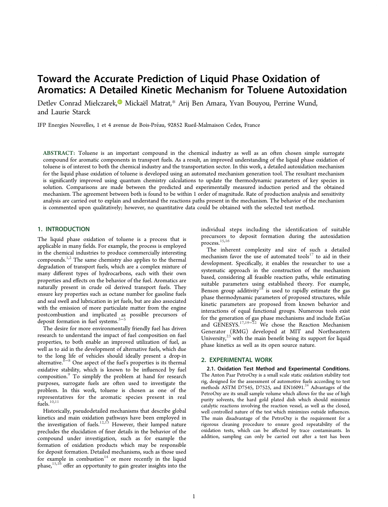# <span id="page-1-0"></span>Toward the Accurate Prediction of Liquid Phase Oxidation of Aromatics: A Detailed Kinetic Mechanism for Toluene Autoxidation

Detlev Conrad Mielczarek[,](#page-18-0)<sup>®</sup> Mickaël Matrat, [\\*](#page-18-0) Arij Ben Amara, Yvan Bouyou, Perrine Wund, and Laurie Starck

IFP Energies Nouvelles, 1 et 4 avenue de Bois-Preau, 92852 Rueil-Malmaison Cedex, France ́

ABSTRACT: Toluene is an important compound in the chemical industry as well as an often chosen simple surrogate compound for aromatic components in transport fuels. As a result, an improved understanding of the liquid phase oxidation of toluene is of interest to both the chemical industry and the transportation sector. In this work, a detailed autoxidation mechanism for the liquid phase oxidation of toluene is developed using an automated mechanism generation tool. The resultant mechanism is significantly improved using quantum chemistry calculations to update the thermodynamic parameters of key species in solution. Comparisons are made between the predicted and experimentally measured induction period and the obtained mechanism. The agreement between both is found to be within 1 order of magnitude. Rate of production analysis and sensitivity analysis are carried out to explain and understand the reactions paths present in the mechanism. The behavior of the mechanism is commented upon qualitatively; however, no quantitative data could be obtained with the selected test method.

### 1. INTRODUCTION

The liquid phase oxidation of toluene is a process that is applicable in many fields. For example, the process is employed in the chemical industries to produce commercially interesting compounds.<sup>[1](#page-18-0),[2](#page-18-0)</sup> The same chemistry also applies to the thermal degradation of transport fuels, which are a complex mixture of many different types of hydrocarbons, each with their own properties and effects on the behavior of the fuel. Aromatics are naturally present in crude oil derived transport fuels. They ensure key properties such as octane number for gasoline fuels and seal swell and lubrication in jet fuels, but are also associated with the emission of more particulate matter from the engine postcombustion and implicated as possible precursors of deposit formation in fuel systems.<sup>[3](#page-18-0)−[5](#page-18-0)</sup>

The desire for more environmentally friendly fuel has driven research to understand the impact of fuel composition on fuel properties, to both enable an improved utilization of fuel, as well as to aid in the development of alternative fuels, which due to the long life of vehicles should ideally present a drop-in alternative.<sup>[8](#page-18-0)−8</sup> One aspect of the fuel's properties is its thermal oxidative stability, which is known to be influenced by fuel composition.[9](#page-18-0) To simplify the problem at hand for research purposes, surrogate fuels are often used to investigate the problem. In this work, toluene is chosen as one of the representatives for the aromatic species present in real  $fuels.<sup>10,11</sup>$  $fuels.<sup>10,11</sup>$  $fuels.<sup>10,11</sup>$ 

Historically, pseudodetailed mechanisms that describe global kinetics and main oxidation pathways have been employed in the investigation of fuels.<sup>[12](#page-19-0),[13](#page-19-0)</sup> However, their lumped nature precludes the elucidation of finer details in the behavior of the compound under investigation, such as for example the formation of oxidation products which may be responsible for deposit formation. Detailed mechanisms, such as those used for example in combustion $14$  or more recently in the liquid phase,<sup>[15,16](#page-19-0)</sup> offer an opportunity to gain greater insights into the

individual steps including the identification of suitable precursors to deposit formation during the autoxidation process.<sup>[15,16](#page-19-0)</sup>

The inherent complexity and size of such a detailed mechanism favor the use of automated tools<sup>[17](#page-19-0)</sup> to aid in their development. Specifically, it enables the researcher to use a systematic approach in the construction of the mechanism based, considering all feasible reaction paths, while estimating suitable parameters using established theory. For example, Benson group additivity<sup>[18](#page-19-0)</sup> is used to rapidly estimate the gas phase thermodynamic parameters of proposed structures, while kinetic parameters are proposed from known behavior and interactions of equal functional groups. Numerous tools exist for the generation of gas phase mechanisms and include ExGas<br>and GENESYS.<sup>[17](#page-19-0),[19](#page-19-0)−[22](#page-19-0)</sup> We chose the Reaction Mechanism Generator (RMG) developed at MIT and Northeastern University, $23$  with the main benefit being its support for liquid phase kinetics as well as its open source nature.

#### 2. EXPERIMENTAL WORK

2.1. Oxidation Test Method and Experimental Conditions. The Anton Paar PetroOxy is a small scale static oxidation stability test rig, designed for the assessment of automotive fuels according to test methods ASTM D7545, D7525, and EN16091.<sup>[24](#page-19-0)</sup> Advantages of the PetroOxy are its small sample volume which allows for the use of high purity solvents, the hard gold plated dish which should minimize catalytic reactions involving the reaction vessel, as well as the closed, well controlled nature of the test which minimizes outside influences. The main disadvantage of the PetroOxy is the requirement for a rigorous cleaning procedure to ensure good repeatability of the oxidation tests, which can be affected by trace contaminants. In addition, sampling can only be carried out after a test has been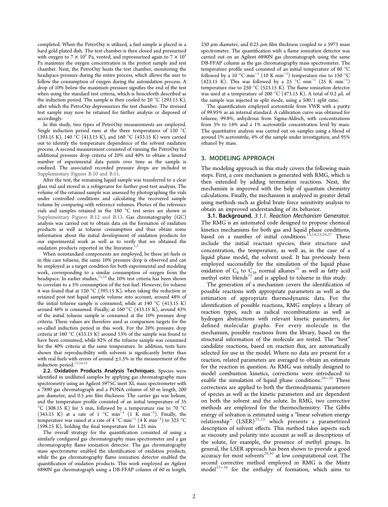completed. When the PetroOxy is utilized, a fuel sample is placed in a hard gold plated dish. The test chamber is then closed and pressurized with oxygen to 7  $\times$  10<sup>5</sup> Pa, vented, and repressurized again to 7  $\times$  10<sup>5</sup> Pa maximize the oxygen concentration in the pretest sample and test chamber. Next, the PetroOxy heats the test chamber, monitoring the headspace pressure during the entire process, which allows the user to follow the consumption of oxygen during the autoxidation process. A drop of 10% below the maximum pressure signifies the end of the test when using the standard test criteria, which is henceforth described as the induction period. The sample is then cooled to 20  $^{\circ}$ C (293.15 K), after which the PetroOxy depressurizes the test chamber. The stressed test sample may now be retained for further analysis or disposed of accordingly.

In this study, two types of PetroOxy measurements are employed. Single induction period runs at the three temperatures of 120 °C (393.15 K), 140 °C (413.15 K), and 160 °C (433.15 K) were carried out to identify the temperature dependence of the solvent oxidation process. A second measurement consisted of running the PetroOxy for additional pressure drop criteria of 20% and 40% to obtain a limited number of experimental data points over time as the sample is oxidized. The associated recorded pressure drops are included in [Supplementary Figures B.10 and B.11.](http://pubs.acs.org/doi/suppl/10.1021/acs.energyfuels.7b00416/suppl_file/ef7b00416_si_001.pdf)

After the test, the remaining liquid sample was transferred to a clear glass vial and stored in a refrigerator for further post-test analysis. The volume of the retained sample was assessed by photographing the vials under controlled conditions and calculating the recovered sample volume by comparing with reference volumes. Photos of the reference vials and samples retained in the 160 °C test series are shown in [Supplementary Figures B.12 and B.13](http://pubs.acs.org/doi/suppl/10.1021/acs.energyfuels.7b00416/suppl_file/ef7b00416_si_001.pdf). Gas chromatography (GC) analysis was carried out to obtain data on the formation of oxidation products as well as toluene consumption and thus obtain some information about the initial development of oxidation products for our experimental work as well as to verify that we obtained the oxidation products reported in the literature.<sup>[1,2](#page-18-0)</sup>

When nonstandard components are employed, be these jet fuels or in this case toluene, the same 10% pressure drop is observed and can be employed as a target condition for both experimental and modeling work, corresponding to a similar consumption of oxygen from the headspace. In earlier studies,<sup>[15](#page-19-0),[16](#page-19-0)</sup> the 10% test criteria has been shown to correlate to a 5% consumption of the test fuel. However, for toluene it was found that at 120 °C (393.15 K), when taking the reduction in retained post test liquid sample volume into account, around 48% of the initial toluene sample is consumed, while at 140 °C (413.15 K) around 46% is consumed. Finally, at 160 °C (433.15 K), around 43% of the initial toluene sample is consumed at the 10% pressure drop criteria. These values are therefore used as comparison targets for the so-called induction period in this work. For the 20% pressure drop criteria at 160 °C (433.15 K) around 53% of the sample was found to have been consumed, while 82% of the toluene sample was consumed for the 40% criteria at the same temperature. In addition, tests have shown that reproducibility with solvents is significantly better than with real fuels with errors of around  $\pm 1.5\%$  in the measurement of the induction period.[15,16,25](#page-19-0)

2.2. Oxidation Products Analysis Techniques. Species were identified in undiluted samples by applying gas chromatography mass spectrometry using an Agilent 5975C inert XL mass spectrometer with a 7890 gas chromatograph and a PONA column of 50 m length, 200  $\mu$ m diameter, and 0.5  $\mu$ m film thickness. The carrier gas was helium, and the temperature profile consisted of an initial temperature of 35 °C (308.15 K) for 5 min, followed by a temperature rise to 70 °C (343.15 K) at a rate of 1 °C min<sup>-1</sup> (1 K min<sup>-1</sup>). Finally, the temperature was raised at a rate of 4 °C min<sup>-1</sup> (4 K min<sup>-1</sup>) to 325 °C (598.15 K), holding the final temperature for 1.25 min.

The overall strategy for the quantification consisted of using a similarly configured gas chromatography mass spectrometer and a gas chromatography flame ionization detector. The gas chromatography mass spectrometer enabled the identification of oxidation products, while the gas chromatography flame ionization detector enabled the quantification of oxidation products. This work employed an Agilent 6890N gas chromatograph using a DB-FFAP column of 60 m length, 250  $\mu$ m diameter, and 0.25  $\mu$ m film thickness coupled to a 5973 mass spectrometer. The quantification with a flame ionization detector was carried out on an Agilent 6890N gas chromatograph using the same DB-FFAP column as the gas chromatography mass spectrometer. The temperature profile used consisted of an initial temperature of 60 °C followed by a 10 °C min<sup>−</sup><sup>1</sup> (10 K min<sup>−</sup><sup>1</sup> ) temperature rise to 150 °C (423.15 K). This was followed by a 25 °C min<sup>-1</sup> (25 K min<sup>-1</sup>) temperature rise to 250 °C (523.15 K). The flame ionization detector was used at a temperature of 200 °C (473.15 K). A total of 0.2  $\mu$ L of the sample was injected in split mode, using a 500/1 split ratio.

The quantification employed acetonitrile from VWR with a purity of 99.95% as an internal standard. A calibration curve was obtained for toluene, 99.8%, anhydrous from Sigma-Aldrich, with concentrations from 3% to 14% and a 1% acetonitrile concentration level by mass. The quantitative analysis was carried out on samples using a blend of around 1% acetonitrile, 4% of the sample under investigation, and 95% ethanol by mass.

### 3. MODELING APPROACH

The modeling approach in this study covers the following main steps. First, a core mechanism is generated with RMG, which is then extended by adding termination reactions. Next, the mechanism is improved with the help of quantum chemistry calculations. Finally, the mechanism is analyzed in greater detail using methods such as global brute force sensitivity analysis to obtain an improved understanding of its behavior.

3.1. Background. 3.1.1. Reaction Mechanism Generator. The RMG is an automated code designed to propose chemical kinetics mechanisms for both gas and liquid phase conditions, based on a number of initial conditions.<sup>[15,16,23,26](#page-19-0),[27](#page-19-0)</sup> These include the initial reactant species, their structure and concentration, the temperature, as well as, in the case of a liquid phase model, the solvent used. It has previously been employed successfully for the simulation of the liquid phase oxidation of C<sub>8</sub> to  $\dot{C}_{16}$  $\dot{C}_{16}$  $\dot{C}_{16}$  normal alkanes<sup>16</sup> as well as fatty acid methyl ester blends<sup>[15](#page-19-0)</sup> and is applied to toluene in this study.

The generation of a mechanism covers the identification of possible reactions with appropriate parameters as well as the estimation of appropriate thermodynamic data. For the identification of possible reactions, RMG employs a library of reaction types, such as radical recombinations as well as hydrogen abstractions with relevant kinetic parameters, for defined molecular graphs. For every molecule in the mechanism, possible reactions from the library, based on the structural information of the molecule are tested. The "best" candidate reactions, based on reaction flux, are automatically selected for use in the model. Where no data are present for a reaction, related parameters are averaged to obtain an estimate for the reaction in question. As RMG was initially designed to model combustion kinetics, corrections were introduced to enable the simulation of liquid phase conditions.<sup>[28](#page-19-0)−[30](#page-19-0)</sup> These corrections are applied to both the thermodynamic parameters of species as well as the kinetic parameters and are dependent on both the solvent and the solute. In RMG, two corrective methods are employed for the thermochemistry. The Gibbs energy of solvation is estimated using a "linear solvation energy relationship" (LSER)<sup>[31,32](#page-19-0)</sup> which presents a parametrized description of solvent effects. This method takes aspects such as viscosity and polarity into account as well as descriptions of the solute, for example, the presence of methyl groups. In general, the LSER approach has been shown to provide a good  $\alpha$  accuracy for most solvents<sup>[29,30](#page-19-0)</sup> at low computational cost. The second corrective method employed in RMG is the Mintz model<sup>[33](#page-19-0)-[36](#page-19-0)</sup> for the enthalpy of formation, which aims to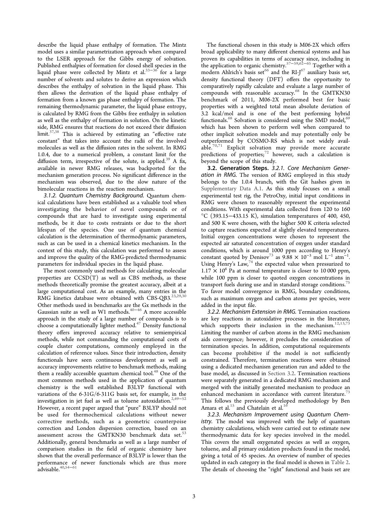describe the liquid phase enthalpy of formation. The Mintz model uses a similar parametrization approach when compared to the LSER approach for the Gibbs energy of solvation. Published enthalpies of formation for closed shell species in the liquid phase were collected by Mintz et al.<sup>[33](#page-19-0)–[36](#page-19-0)</sup> for a large number of solvents and solutes to derive an expression which describes the enthalpy of solvation in the liquid phase. This then allows the derivation of the liquid phase enthalpy of formation from a known gas phase enthalpy of formation. The remaining thermodynamic parameter, the liquid phase entropy, is calculated by RMG from the Gibbs free enthalpy in solution as well as the enthalpy of formation in solution. On the kinetic side, RMG ensures that reactions do not exceed their diffusion  $\lim$ it.<sup>[37,38](#page-19-0)</sup> This is achieved by estimating an "effective rate constant" that takes into account the radii of the involved molecules as well as the diffusion rates in the solvent. In RMG 1.0.4, due to a numerical problem, a constant limit for the diffusion term, irrespective of the solute, is applied.<sup>[39](#page-19-0)</sup> A fix, available in newer RMG releases, was backported for the mechanism generation process. No significant difference in the mechanism was observed, due to the slow nature of the bimolecular reactions in the reaction mechanism.

3.1.2. Quantum Chemistry Background. Quantum chemical calculations have been established as a valuable tool when investigating the behavior of novel compounds or of compounds that are hard to investigate using experimental methods, be it due to costs restraints or due to the short lifespan of the species. One use of quantum chemical calculation is the determination of thermodynamic parameters, such as can be used in a chemical kinetics mechanism. In the context of this study, this calculation was performed to assess and improve the quality of the RMG-predicted thermodynamic parameters for individual species in the liquid phase.

The most commonly used methods for calculating molecular properties are  $CCSD(T)$  as well as CBS methods, as these methods theoretically promise the greatest accuracy, albeit at a large computational cost. As an example, many entries in the RMG kinetics database were obtained with CBS-QB3.<sup>[23](#page-19-0),[29,30](#page-19-0)</sup> Other methods used in benchmarks are the Gx methods in the Gaussian suite as well as W1 methods.[40](#page-19-0)−[46](#page-19-0) A more accessible approach in the study of a large number of compounds is to choose a computationally lighter method. $47$  Density functional theory offers improved accuracy relative to semiempirical methods, while not commanding the computational costs of couple cluster computations, commonly employed in the calculation of reference values. Since their introduction, density functionals have seen continuous development as well as accuracy improvements relative to benchmark methods, making them a readily accessible quantum chemical tool.<sup>[48](#page-19-0)</sup> One of the most common methods used in the application of quantum chemistry is the well established B3LYP functional with variations of the 6-31G/6-311G basis set, for example, in the investigation in jet fuel as well as toluene autoxidation.[2](#page-18-0)[,49](#page-19-0)−[52](#page-19-0) However, a recent paper argued that "pure" B3LYP should not be used for thermochemical calculations without newer corrective methods, such as a geometric counterpoise correction and London dispersion correction, based on an assessment across the GMTKN30 benchmark data set.<sup>[53](#page-19-0)</sup> Additionally, general benchmarks as well as a large number of comparison studies in the field of organic chemistry have shown that the overall performance of B3LYP is lower than the performance of newer functionals which are thus more<br>advisable.<sup>[40](#page-19-0),[54](#page-20-0)−[61](#page-20-0)</sup>

The functional chosen in this study is M06-2X which offers broad applicability to many different chemical systems and has proven its capabilities in terms of accuracy since, including in the application to organic chemistry.<sup>[57](#page-20-0)–[59,62](#page-20-0)–[65](#page-20-0)</sup> Together with a modern Ahlrich's basis set<sup>[66](#page-20-0)</sup> and the RI- $1^{67}$  $1^{67}$  $1^{67}$  auxiliary basis set, density functional theory (DFT) offers the opportunity to comparatively rapidly calculate and evaluate a large number of compounds with reasonable accuracy.<sup>[68](#page-20-0)</sup> In the GMTKN30 benchmark of 2011, M06-2X performed best for basic properties with a weighted total mean absolute deviation of 3.2 kcal/mol and is one of the best performing hybrid functionals.<sup>[68](#page-20-0)</sup> Solvation is considered using the SMD model,<sup>[69](#page-20-0)</sup> which has been shown to perform well when compared to other implicit solvation models and may potentially only be outperformed by COSMO-RS which is not widely avail-able.<sup>[70](#page-20-0),[71](#page-20-0)</sup> Explicit solvation may provide more accurate predictions of properties; $72$  however, such a calculation is beyond the scope of this study.

3.2. Generation Steps. 3.2.1. Core Mechanism Generation in RMG. The version of RMG employed in this study belongs to the 1.0.4 branch, with the Git hashes given in [Supplementary Data A.1](http://pubs.acs.org/doi/suppl/10.1021/acs.energyfuels.7b00416/suppl_file/ef7b00416_si_001.pdf). As this study focuses on a small experimental test rig, the PetroOxy, initial input conditions in RMG were chosen to reasonably represent the experimental conditions. With experimental data collected from 120 to 160 °C (393.15−433.15 K), simulation temperatures of 400, 450, and 500 K were chosen, with the higher 500 K criteria selected to capture reactions expected at slightly elevated temperatures. Initial oxygen concentrations were chosen to represent the expected air saturated concentration of oxygen under standard conditions, which is around 1000 ppm according to Henry's constant quoted by Denisov<sup>[73](#page-20-0)</sup> as  $9.88 \times 10^{-3}$  mol L<sup>-1</sup> atm<sup>-1</sup> . Using Henry's Law, $74$  the expected value when pressurized to  $1.17 \times 10^6$  Pa at normal temperature is closer to 10 000 ppm, while 100 ppm is closer to quoted oxygen concentrations in transport fuels during use and in standard storage conditions.<sup>[75](#page-20-0)</sup> To favor model convergence in RMG, boundary conditions, such as maximum oxygen and carbon atoms per species, were added in the input file.

3.2.2. Mechanism Extension in RMG. Termination reactions are key reactions in autoxidative processes in the literature, which supports their inclusion in the mechanism. $12,13,73$  $12,13,73$ Limiting the number of carbon atoms in the RMG mechanism aids convergence; however, it precludes the consideration of termination species. In addition, computational requirements can become prohibitive if the model is not sufficiently constrained. Therefore, termination reactions were obtained using a dedicated mechanism generation run and added to the base model, as discussed in Section 3.2. Termination reactions were separately generated in a dedicated RMG mechanism and merged with the initially generated mechanism to produce an enhanced mechanism in accordance with current literature. $73$ This follows the previously developed methodology by Ben Amara et al.<sup>[15](#page-19-0)</sup> and Chatelain et al.<sup>[16](#page-19-0)</sup>

3.2.3. Mechanism Improvement using Quantum Chemistry. The model was improved with the help of quantum chemistry calculations, which were carried out to estimate new thermodynamic data for key species involved in the model. This covers the small oxygenated species as well as oxygen, toluene, and all primary oxidation products found in the model, giving a total of 45 species. An overview of number of species updated in each category in the final model is shown in [Table 2.](#page-4-0) The details of choosing the "right" functional and basis set are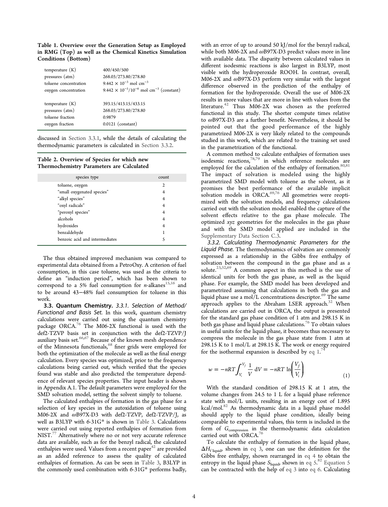#### <span id="page-4-0"></span>Table 1. Overview over the Generation Setup as Employed in RMG (Top) as well as the Chemical Kinetics Simulation Conditions (Bottom)

| temperature $(K)$     | 400/450/500                                                    |
|-----------------------|----------------------------------------------------------------|
| pressures (atm)       | 268.03/273.80/278.80                                           |
| toluene concentration | 9.442 $\times$ 10 <sup>-3</sup> mol cm <sup>-3</sup>           |
| oxygen concentration  | $9.442 \times 10^{-5}/10^{-6}$ mol cm <sup>-3</sup> (constant) |
| temperature $(K)$     | 393.15/413.15/433.15                                           |
| pressures (atm)       | 268.03/273.80/278.80                                           |
| toluene fraction      | 0.9879                                                         |
| oxygen fraction       | $0.0121$ (constant)                                            |

discussed in Section 3.3.1, while the details of calculating the thermodynamic parameters is calculated in Section 3.3.2.

Table 2. Overview of Species for which new Thermochemistry Parameters are Calculated

| species type<br>count<br>2      |  |
|---------------------------------|--|
|                                 |  |
| toluene, oxygen                 |  |
| "small oxygenated species"<br>4 |  |
| "alkyl species"<br>4            |  |
| "oxyl radicals"<br>4            |  |
| "peroxyl species"<br>4          |  |
| alcohols<br>4                   |  |
| hydroxides<br>4                 |  |
| benzaldehyde                    |  |
| benzoic acid and intermediates  |  |

The thus obtained improved mechanism was compared to experimental data obtained from a PetroOxy. A criterion of fuel consumption, in this case toluene, was used as the criteria to define an "induction period", which has been shown to correspond to a 5% fuel consumption for  $n$ -alkanes<sup>[15,16](#page-19-0)</sup> and to be around 43−48% fuel consumption for toluene in this work.

3.3. Quantum Chemistry. 3.3.1. Selection of Method/ Functional and Basis Set. In this work, quantum chemistry calculations were carried out using the quantum chemistry package ORCA.<sup>[76](#page-20-0)</sup> The M06-2X functional is used with the def2-TZVP basis set in conjunction with the def2-TZVP/J auxiliary basis set.<sup>[66,67](#page-20-0)</sup> Because of the known mesh dependence of the Minnesota functionals,<sup>[68](#page-20-0)</sup> finer grids were employed for both the optimization of the molecule as well as the final energy calculation. Every species was optimized, prior to the frequency calculations being carried out, which verified that the species found was stable and also predicted the temperature dependence of relevant species properties. The input header is shown in Appendix A.1. The default parameters were employed for the SMD solvation model, setting the solvent simply to toluene.

The calculated enthalpies of formation in the gas phase for a selection of key species in the autoxidation of toluene using M06-2X and ωB97X-D3 with def2-TZVP, def2-TZVP/J, as well as B3LYP with 6-31G\* is shown in [Table 3.](#page-5-0) Calculations were carried out using reported enthalpies of formation from NIST.<sup>[77](#page-20-0)</sup> Alternatively where no or not very accurate reference data are available, such as for the benzyl radical, the calculated enthalpies were used. Values from a recent paper<sup>[42](#page-19-0)</sup> are provided as an added reference to assess the quality of calculated enthalpies of formation. As can be seen in [Table 3](#page-5-0), B3LYP in the commonly used combination with 6-31G\* performs badly,

with an error of up to around 50 kJ/mol for the benzyl radical, while both M06-2X and  $\omega$ B97X-D3 predict values more in line with available data. The disparity between calculated values in different isodesmic reactions is also largest in B3LYP, most visible with the hydroperoxide ROOH. In contrast, overall, M06-2X and ωB97X-D3 perform very similar with the largest difference observed in the prediction of the enthalpy of formation for the hydroperoxide. Overall the use of M06-2X results in more values that are more in line with values from the literature.[42](#page-19-0) Thus M06-2X was chosen as the preferred functional in this study. The shorter compute times relative to ωB97X-D3 are a further benefit. Nevertheless, it should be pointed out that the good performance of the highly parametrized M06-2X is very likely related to the compounds studied in this work, which are related to the training set used in the parametrization of the functional.

A common method to calculate enthalpies of formation uses isodesmic reactions,  $78,79$  in which reference molecules are employed for the calculation of the enthalpy of formation. $80,81$ The impact of solvation is modeled using the highly parametrized SMD model with toluene as the solvent, as it promises the best performance of the available implicit solvation models in ORCA.<sup>[69](#page-20-0),[76](#page-20-0)</sup> All geometries were reoptimized with the solvation models, and frequency calculations carried out with the solvation model enabled the capture of the solvent effects relative to the gas phase molecule. The optimized *xyz* geometries for the molecules in the gas phase and with the SMD model applied are included in the [Supplementary Data Section C.3.](http://pubs.acs.org/doi/suppl/10.1021/acs.energyfuels.7b00416/suppl_file/ef7b00416_si_001.pdf)

3.3.2. Calculating Thermodynamic Parameters for the Liquid Phase. The thermodynamics of solvation are commonly expressed as a relationship in the Gibbs free enthalpy of solvation between the compound in the gas phase and as a solute.[23,32](#page-19-0),[69](#page-20-0) A common aspect in this method is the use of identical units for both the gas phase, as well as the liquid phase. For example, the SMD model has been developed and parametrized assuming that calculations in both the gas and liquid phase use a mol/L concentrations descriptor.<sup>[69](#page-20-0)</sup> The same approach applies to the Abraham LSER approach. $32$  When calculations are carried out in ORCA, the output is presented for the standard gas phase condition of 1 atm and 298.15 K in both gas phase and liquid phase calculations.<sup>[76](#page-20-0)</sup> To obtain values in useful units for the liquid phase, it becomes thus necessary to compress the molecule in the gas phase state from 1 atm at 298.15 K to 1 mol/L at 298.15 K. The work or energy required for the isothermal expansion is described by eq  $1.^{74}$  $1.^{74}$  $1.^{74}$ 

$$
w = -nRT \int_{V_i}^{V_f} \frac{1}{V} dV = -nRT \ln \left( \frac{V_f}{V_i} \right)
$$
 (1)

With the standard condition of 298.15 K at 1 atm, the volume changes from 24.5 to 1 L for a liquid phase reference state with mol/L units, resulting in an energy cost of 1.895 kcal/mol.[82](#page-20-0) As thermodynamic data in a liquid phase model should apply to the liquid phase condition, ideally being comparable to experimental values, this term is included in the form of *G*<sub>compression</sub> in the thermodynamic data calculation carried out with ORCA.<sup>[76](#page-20-0)</sup>

To calculate the enthalpy of formation in the liquid phase,  $\Delta H_{\text{fluid}}$ , shown in [eq 3](#page-5-0), one can use the definition for the Gibbs free enthalpy, shown rearranged in [eq 4](#page-5-0) to obtain the entropy in the liquid phase  $S_{liquid}$ , shown in [eq 5](#page-5-0).<sup>[82](#page-20-0)</sup> [Equation 5](#page-5-0) can be contracted with the help of [eq 3](#page-5-0) into [eq 6.](#page-5-0) Calculating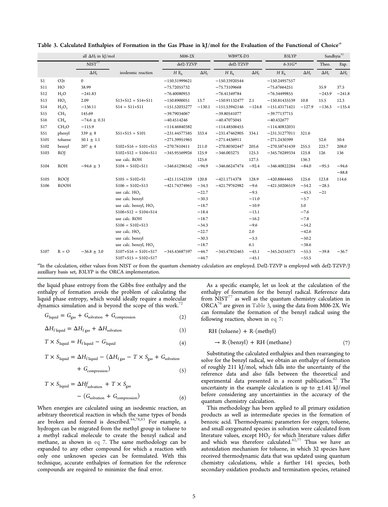| all $\Delta H_f$ in kJ/mol |                               | M06-2X             |                                   | WB97X-D3         |                    | B3LYP            |              | $\mbox{Sandhyia}^{42}$ |                    |                    |                    |
|----------------------------|-------------------------------|--------------------|-----------------------------------|------------------|--------------------|------------------|--------------|------------------------|--------------------|--------------------|--------------------|
|                            |                               | NIST <sup>77</sup> |                                   | def2-TZVP        |                    | def2-TZVP        |              | $6 - 31G^*$            |                    | Theo.              | Exp.               |
|                            |                               | $\Delta H_f$       | isodesmic reaction                | H E <sub>h</sub> | $\Delta H_{\rm f}$ | H E <sub>h</sub> | $\Delta H_f$ | H E <sub>h</sub>       | $\Delta H_{\rm f}$ | $\Delta H_{\rm f}$ | $\Delta H_{\rm f}$ |
| S1                         | O2t                           | $\mathbf{0}$       |                                   | $-150.31999621$  |                    | $-150.33920544$  |              | $-150.24957557$        |                    |                    |                    |
| <b>S11</b>                 | HO                            | 38.99              |                                   | $-75.72055732$   |                    | $-75.73109668$   |              | $-75.67664251$         |                    | 35.9               | 37.5               |
| S <sub>12</sub>            | H <sub>2</sub> O              | $-241.83$          |                                   | $-76.40080953$   |                    | $-76.41349784$   |              | $-76.34499855$         |                    | $-243.9$           | $-241.8$           |
| S <sub>13</sub>            | HO <sub>2</sub>               | 2.09               | $S13+S12 = S14+S11$               | $-150.8900051$   | 13.7               | $-150.91132477$  | 2.1          | $-150.81435539$        | 10.8               | 15.5               | 12.3               |
| S14                        | H <sub>2</sub> O <sub>2</sub> | $-136.11$          | $S14 = S11 + S11$                 | $-151.52035277$  | $-130.1$           | $-151.53942146$  | $-124.8$     | $-151.43171421$        | $-127.9$           | $-136.3$           | $-135.4$           |
| <b>S15</b>                 | CH <sub>3</sub>               | 145.69             |                                   | $-39.79034067$   |                    | $-39.80541077$   |              | $-39.77137715$         |                    |                    |                    |
| S16                        | CH <sub>4</sub>               | $-74.6 \pm 0.31$   |                                   | $-40.4514246$    |                    | $-40.47075045$   |              | $-40.432677$           |                    |                    |                    |
| S17                        | CH <sub>2</sub> O             | $-115.9$           |                                   | $-114.46840382$  |                    | $-114.48506455$  |              | $-114.40832031$        |                    |                    |                    |
| S51                        | phenyl                        | $339 \pm 8$        | $S51+S15 = S101$                  | $-231.44577585$  | 333.4              | $-231.47462905$  | 334.1        | $-231.31277011$        | 321.6              |                    |                    |
| S101                       | toluene                       | $50.1 \pm 1.1$     |                                   | $-271.39951965$  |                    | $-271.4436911$   |              | $-271.2430399$         |                    | 52.6               | 50.4               |
| S102                       | benzyl                        | $207 \pm 4$        | $S102 + S16 = S101 + S15$         | $-270.7610411$   | 211.0              | $-270.80302447$  | 205.6        | $-270.58741439$        | 255.5              | 225.7              | 208.0              |
| S103                       | <b>ROJ</b>                    |                    | $S102 + S12 = S104 + S11$         | $-345.95569926$  | 125.9              | $-346.003275$    | 125.3        | $-345.76289334$        | 125.8              | 126                | 136                |
|                            |                               |                    | use calc. ROH                     |                  | 125.6              |                  | 127.5        |                        | 136.3              |                    |                    |
| S104                       | <b>ROH</b>                    | $-94.6 \pm 3$      | $S104 = S102 + S11$               | $-346.61296542$  | $-94.9$            | $-346.66247474$  | $-92.4$      | $-346.40822284$        | $-84.0$            | $-95.5$            | $-94.6$            |
|                            |                               |                    |                                   |                  |                    |                  |              |                        |                    |                    | $-88.8$            |
| S105                       | <b>ROOJ</b>                   |                    | $S105 = S102 + S1$                | $-421.11542339$  | 120.8              | $-421.1714378$   | 128.9        | $-420.8864465$         | 125.6              | 123.8              | 114.6              |
| S106                       | <b>ROOH</b>                   |                    | $$106 = $102 + $13$               | $-421.74374965$  | $-34.3$            | $-421.79762982$  | $-9.6$       | $-421.50206519$        | $-54.2$            | $-28.5$            |                    |
|                            |                               |                    | use calc. HO <sub>2</sub>         |                  | $-22.7$            |                  | $-9.5$       |                        | $-45.5$            | $-21$              |                    |
|                            |                               |                    | use calc. benzyl                  |                  | $-30.3$            |                  | $-11.0$      |                        | $-5.7$             |                    |                    |
|                            |                               |                    | use calc. benzyl, HO <sub>2</sub> |                  | $-18.7$            |                  | $-10.9$      |                        | 3.0                |                    |                    |
|                            |                               |                    | $$106+$12 = $104+$14$             |                  | $-18.4$            |                  | $-13.1$      |                        | $-7.6$             |                    |                    |
|                            |                               |                    | use calc. ROH                     |                  | $-18.7$            |                  | $-16.2$      |                        | $-7.8$             |                    |                    |
|                            |                               |                    | $$106 = $102 + $13$               |                  | $-34.3$            |                  | $-9.6$       |                        | $-54.2$            |                    |                    |
|                            |                               |                    | use calc. HO <sub>2</sub>         |                  | $-22.7$            |                  | 2.0          |                        | $-42.6$            |                    |                    |
|                            |                               |                    | use calc. benzyl                  |                  | $-30.3$            |                  | $-5.5$       |                        | $-50.2$            |                    |                    |
|                            |                               |                    | use calc. benzyl, HO <sub>2</sub> |                  | $-18.7$            |                  | 6.1          |                        | $-38.6$            |                    |                    |
| S107                       | $R = 0$                       | $-36.8 \pm 3.0$    | $S107 + S16 = S101 + S17$         | $-345.43687597$  | $-44.7$            | $-345.47852463$  | $-45.1$      | $-345.24316373$        | $-55.5$            | $-39.8$            | $-36.7$            |
|                            |                               |                    | $S107 + S15 = S102 + S17$         |                  | $-44.7$            |                  | $-45.1$      |                        | $-55.5$            |                    |                    |

<span id="page-5-0"></span>Table 3. Calculated Enthalpies of Formation in the Gas Phase in kJ/mol for the Evaluation of the Functional of Choice<sup>a</sup>

*a* In the calculation, either values from NIST or from the quantum chemistry calculation are employed. Def2-TZVP is employed with def2-TZVP/J auxilliary basis set, B3LYP is the ORCA implementation.

the liquid phase entropy from the Gibbs free enthalpy and the enthalpy of formation avoids the problem of calculating the liquid phase entropy, which would ideally require a molecular dynamics simulation and is beyond the scope of this work.<sup>[72](#page-20-0)</sup>

$$
G_{\text{liquid}} = G_{\text{gas}} + G_{\text{solvation}} + G_{\text{compression}} \tag{2}
$$

$$
\Delta H_{\text{fluid}} = \Delta H_{\text{f gas}} + \Delta H_{\text{solvation}} \tag{3}
$$

$$
T \times S_{\text{liquid}} = H_{\text{fluid}} - G_{\text{liquid}} \tag{4}
$$

$$
T \times S_{\text{liquid}} = \Delta H_{\text{fluid}} - (\Delta H_{\text{f gas}} - T \times S_{\text{gas}} + G_{\text{solvation}} + G_{\text{compression}})
$$
\n(5)

$$
T \times S_{\text{liquid}} = \Delta H f_{\text{solvation}} + T \times S_{\text{gas}}
$$

$$
- (G_{\text{solvation}} + G_{\text{compression}})
$$
(6)

When energies are calculated using an isodesmic reaction, an arbitrary theoretical reaction in which the same types of bonds are broken and formed is described. $44,78,83$  $44,78,83$  For example, a hydrogen can be migrated from the methyl group in toluene to a methyl radical molecule to create the benzyl radical and methane, as shown in eq 7. The same methodology can be expanded to any other compound for which a reaction with only one unknown species can be formulated. With this technique, accurate enthalpies of formation for the reference compounds are required to minimize the final error.

As a specific example, let us look at the calculation of the enthalpy of formation for the benzyl radical. Reference data from  $NIST^{77}$  $NIST^{77}$  $NIST^{77}$  as well as the quantum chemistry calculation in ORCA<sup>[76](#page-20-0)</sup> are given in Table 3, using the data from M06-2X. We can formulate the formation of the benzyl radical using the following reaction, shown in eq 7:

$$
RH (toluene) + R (methyl)
$$
  
\n
$$
\rightarrow R (benzyl) + RH (methane)
$$
 (7)

Substituting the calculated enthalpies and then rearranging to solve for the benzyl radical, we obtain an enthalpy of formation of roughly 211 kJ/mol, which falls into the uncertainty of the reference data and also falls between the theoretical and experimental data presented in a recent publication. $42$  The uncertainty in the example calculation is up to  $\pm$ 1.41 kJ/mol before considering any uncertainties in the accuracy of the quantum chemistry calculation.

This methodology has been applied to all primary oxidation products as well as intermediate species in the formation of benzoic acid. Thermodynamic parameters for oxygen, toluene, and small oxygenated species in solvation were calculated from literature values, except  $HO_2$  for which literature values differ and which was therefore calculated. $42,77$  $42,77$  $42,77$  Thus we have an autoxidation mechanism for toluene, in which 32 species have received thermodynamic data that was updated using quantum chemistry calculations, while a further 141 species, both secondary oxidation products and termination species, retained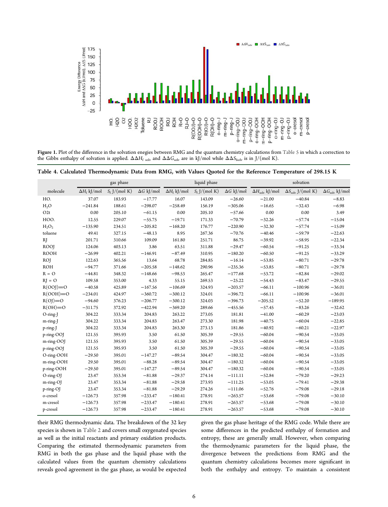<span id="page-6-0"></span>

Figure 1. Plot of the difference in the solvation enegies between RMG and the quantum chemistry calculations from [Table 5](#page-7-0) in which a correction to the Gibbs enthalpy of solvation is applied.  $\Delta \Delta H_f$  solv and  $\Delta \Delta G_{solv}$  are in kJ/mol while  $\Delta \Delta S_{solv}$  is in J/(mol K).

|              |                     | gas phase       |                   |                     | liquid phase    |                   |                                 | solvation                          |                              |
|--------------|---------------------|-----------------|-------------------|---------------------|-----------------|-------------------|---------------------------------|------------------------------------|------------------------------|
| molecule     | $\Delta H_f$ kJ/mol | $S_f$ J/(mol K) | $\Delta G$ kJ/mol | $\Delta H_f$ kJ/mol | $S_f$ J/(mol K) | $\Delta G$ kJ/mol | $\Delta H_{\text{solv}}$ kJ/mol | $\Delta S_{\text{solv}}$ J/(mol K) | $\Delta G_{\rm solv}$ kJ/mol |
| HO.          | 37.07               | 183.93          | $-17.77$          | 16.07               | 143.09          | $-26.60$          | $-21.00$                        | $-40.84$                           | $-8.83$                      |
| $H_2O$       | $-241.84$           | 188.61          | $-298.07$         | $-258.49$           | 156.19          | $-305.06$         | $-16.65$                        | $-32.43$                           | $-6.98$                      |
| O2t          | 0.00                | 205.10          | $-61.15$          | 0.00                | 205.10          | $-57.66$          | 0.00                            | 0.00                               | 3.49                         |
| HOO.         | 12.55               | 229.07          | $-55.75$          | $-19.71$            | 171.33          | $-70.79$          | $-32.26$                        | $-57.74$                           | $-15.04$                     |
| $H_2O_2$     | $-135.90$           | 234.51          | $-205.82$         | $-168.20$           | 176.77          | $-220.90$         | $-32.30$                        | $-57.74$                           | $-15.09$                     |
| toluene      | 49.41               | 327.15          | $-48.13$          | 8.95                | 267.36          | $-70.76$          | $-40.46$                        | $-59.79$                           | $-22.63$                     |
| RJ           | 201.71              | 310.66          | 109.09            | 161.80              | 251.71          | 86.75             | $-39.92$                        | $-58.95$                           | $-22.34$                     |
| <b>ROOJ</b>  | 124.06              | 403.13          | 3.86              | 63.51               | 311.88          | $-29.47$          | $-60.54$                        | $-91.25$                           | $-33.34$                     |
| <b>ROOH</b>  | $-26.99$            | 402.21          | $-146.91$         | $-87.49$            | 310.95          | $-180.20$         | $-60.50$                        | $-91.25$                           | $-33.29$                     |
| <b>ROJ</b>   | 122.63              | 365.56          | 13.64             | 68.78               | 284.85          | $-16.14$          | $-53.85$                        | $-80.71$                           | $-29.78$                     |
| <b>ROH</b>   | $-94.77$            | 371.66          | $-205.58$         | $-148.62$           | 290.96          | $-235.36$         | $-53.85$                        | $-80.71$                           | $-29.78$                     |
| $R = 0$      | $-44.81$            | 348.32          | $-148.66$         | $-98.53$            | 265.47          | $-177.68$         | $-53.72$                        | $-82.84$                           | $-29.02$                     |
| $RI = O$     | 109.58              | 353.00          | 4.33              | 55.15               | 269.53          | $-25.22$          | $-54.43$                        | $-83.47$                           | $-29.55$                     |
| $R(OOJ) = 0$ | $-40.58$            | 425.89          | $-167.56$         | $-106.69$           | 324.93          | $-203.57$         | $-66.11$                        | $-100.96$                          | $-36.01$                     |
| $R(OOH) = 0$ | $-234.01$           | 424.97          | $-360.72$         | $-300.12$           | 324.01          | $-396.72$         | $-66.11$                        | $-100.96$                          | $-36.01$                     |
| $R(OI) = O$  | $-94.60$            | 376.23          | $-206.77$         | $-300.12$           | 324.03          | $-396.73$         | $-205.52$                       | $-52.20$                           | $-189.95$                    |
| $R(OH) = O$  | $-311.75$           | 372.92          | $-422.94$         | $-369.20$           | 289.66          | $-455.56$         | $-57.45$                        | $-83.26$                           | $-32.62$                     |
| O-ring-J     | 304.22              | 333.34          | 204.83            | 263.22              | 273.05          | 181.81            | $-41.00$                        | $-60.29$                           | $-23.03$                     |
| m-ring-J     | 304.22              | 333.34          | 204.83            | 263.47              | 273.30          | 181.98            | $-40.75$                        | $-60.04$                           | $-22.85$                     |
| p-ring-J     | 304.22              | 333.34          | 204.83            | 263.30              | 273.13          | 181.86            | $-40.92$                        | $-60.21$                           | $-22.97$                     |
| p-ring-OOJ   | 121.55              | 395.93          | 3.50              | 61.50               | 305.39          | $-29.55$          | $-60.04$                        | $-90.54$                           | $-33.05$                     |
| m-ring-OOJ   | 121.55              | 395.93          | 3.50              | 61.50               | 305.39          | $-29.55$          | $-60.04$                        | $-90.54$                           | $-33.05$                     |
| p-ring-OOJ   | 121.55              | 395.93          | 3.50              | 61.50               | 305.39          | $-29.55$          | $-60.04$                        | $-90.54$                           | $-33.05$                     |
| O-ring-OOH   | $-29.50$            | 395.01          | $-147.27$         | $-89.54$            | 304.47          | $-180.32$         | $-60.04$                        | $-90.54$                           | $-33.05$                     |
| m-ring-OOH   | 29.50               | 395.01          | $-88.28$          | $-89.54$            | 304.47          | $-180.32$         | $-60.04$                        | $-90.54$                           | $-33.05$                     |
| p-ring-OOH   | $-29.50$            | 395.01          | $-147.27$         | $-89.54$            | 304.47          | $-180.32$         | $-60.04$                        | $-90.54$                           | $-33.05$                     |
| O-ring-OJ    | 23.47               | 353.34          | $-81.88$          | $-29.37$            | 274.14          | $-111.11$         | $-52.84$                        | $-79.20$                           | $-29.23$                     |
| m-ring-OJ    | 23.47               | 353.34          | $-81.88$          | $-29.58$            | 273.93          | $-111.25$         | $-53.05$                        | $-79.41$                           | $-29.38$                     |
| p-ring-OJ    | 23.47               | 353.34          | $-81.88$          | $-29.29$            | 274.26          | $-111.06$         | $-52.76$                        | $-79.08$                           | $-29.18$                     |
| o-cresol     | $-126.73$           | 357.98          | $-233.47$         | $-180.41$           | 278.91          | $-263.57$         | $-53.68$                        | $-79.08$                           | $-30.10$                     |
| m-cresol     | $-126.73$           | 357.98          | $-233.47$         | $-180.41$           | 278.91          | $-263.57$         | $-53.68$                        | $-79.08$                           | $-30.10$                     |
| p-cresol     | $-126.73$           | 357.98          | $-233.47$         | $-180.41$           | 278.91          | $-263.57$         | $-53.68$                        | $-79.08$                           | $-30.10$                     |

Table 4. Calculated Thermodynamic Data from RMG, with Values Quoted for the Reference Temperature of 298.15 K

their RMG thermodynamic data. The breakdown of the 32 key species is shown in [Table 2](#page-4-0) and covers small oxygenated species as well as the initial reactants and primary oxidation products. Comparing the estimated thermodynamic parameters from RMG in both the gas phase and the liquid phase with the calculated values from the quantum chemistry calculations reveals good agreement in the gas phase, as would be expected given the gas phase heritage of the RMG code. While there are some differences in the predicted enthalpy of formation and entropy, these are generally small. However, when comparing the thermodynamic parameters for the liquid phase, the divergence between the predictions from RMG and the quantum chemistry calculations becomes more significant in both the enthalpy and entropy. To maintain a consistent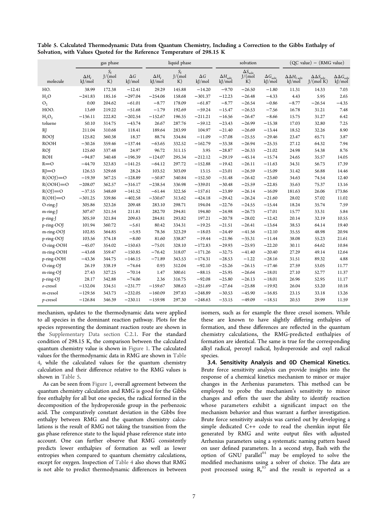|                  | gas phase                    |                        |                      | liquid phase                 |                        |                      | solvation                          |                                           |                                 | $(QC value) - (RMG value)$               |                                          |                                       |
|------------------|------------------------------|------------------------|----------------------|------------------------------|------------------------|----------------------|------------------------------------|-------------------------------------------|---------------------------------|------------------------------------------|------------------------------------------|---------------------------------------|
| molecule         | $\Delta H_{\rm f}$<br>kJ/mol | $S_f$<br>J/(mol)<br>K) | $\Delta G$<br>kJ/mol | $\Delta H_{\rm f}$<br>kJ/mol | $S_f$<br>J/(mol)<br>K) | $\Delta G$<br>kJ/mol | $\Delta H_{\text{solv}}$<br>kJ/mol | $\Delta S_{\text{solv}}$<br>J/(mol)<br>K) | $\Delta G_{\rm solv}$<br>kJ/mol | $\Delta\Delta H_{\rm f\,solv}$<br>kJ/mol | $\Delta\Delta S_{\rm solv}$<br>J/(mol K) | $\Delta\Delta G_{\rm solv}$<br>kJ/mol |
| HO.              | 38.99                        | 172.38                 | $-12.41$             | 29.29                        | 145.88                 | $-14.20$             | $-9.70$                            | $-26.50$                                  | $-1.80$                         | 11.31                                    | 14.33                                    | 7.03                                  |
| H <sub>2</sub> O | $-241.83$                    | 185.16                 | $-297.04$            | $-254.06$                    | 158.68                 | $-301.37$            | $-12.23$                           | $-26.48$                                  | $-4.33$                         | 4.43                                     | 5.95                                     | 2.65                                  |
| O <sub>2</sub>   | 0.00                         | 204.62                 | $-61.01$             | $-8.77$                      | 178.09                 | $-61.87$             | $-8.77$                            | $-26.54$                                  | $-0.86$                         | $-8.77$                                  | $-26.54$                                 | $-4.35$                               |
| HOO.             | 13.69                        | 219.22                 | $-51.68$             | $-1.79$                      | 192.69                 | $-59.24$             | $-15.47$                           | $-26.53$                                  | $-7.56$                         | 16.78                                    | 31.21                                    | 7.48                                  |
| $H_2O_2$         | $-136.11$                    | 222.82                 | $-202.54$            | $-152.67$                    | 196.35                 | $-211.21$            | $-16.56$                           | $-26.47$                                  | $-8.66$                         | 15.75                                    | 31.27                                    | 6.42                                  |
| toluene          | 50.10                        | 314.75                 | $-43.74$             | 26.67                        | 287.76                 | $-59.12$             | $-23.43$                           | $-26.99$                                  | $-15.38$                        | 17.03                                    | 32.80                                    | 7.25                                  |
| RJ               | 211.04                       | 310.68                 | 118.41               | 189.64                       | 283.99                 | 104.97               | $-21.40$                           | $-26.69$                                  | $-13.44$                        | 18.52                                    | 32.26                                    | 8.90                                  |
| <b>ROOJ</b>      | 125.82                       | 360.38                 | 18.37                | 88.74                        | 334.84                 | $-11.09$             | $-37.08$                           | $-25.55$                                  | $-29.46$                        | 23.47                                    | 65.71                                    | 3.87                                  |
| <b>ROOH</b>      | $-30.26$                     | 359.46                 | $-137.44$            | $-63.65$                     | 332.52                 | $-162.79$            | $-33.38$                           | $-26.94$                                  | $-25.35$                        | 27.12                                    | 64.32                                    | 7.94                                  |
| <b>ROJ</b>       | 125.60                       | 337.48                 | 24.97                | 96.72                        | 311.15                 | 3.95                 | $-28.87$                           | $-26.33$                                  | $-21.02$                        | 24.98                                    | 54.38                                    | 8.76                                  |
| <b>ROH</b>       | $-94.87$                     | 340.48                 | $-196.39$            | $-124.07$                    | 295.34                 | $-212.12$            | $-29.19$                           | $-45.14$                                  | $-15.74$                        | 24.65                                    | 35.57                                    | 14.05                                 |
| $R = 0$          | $-44.70$                     | 323.83                 | $-141.25$            | $-64.12$                     | 297.72                 | $-152.88$            | $-19.42$                           | $-26.11$                                  | $-11.63$                        | 34.31                                    | 56.73                                    | 17.39                                 |
| $RI=O$           | 126.53                       | 329.68                 | 28.24                | 103.52                       | 303.09                 | 13.15                | $-23.01$                           | $-26.59$                                  | $-15.09$                        | 31.42                                    | 56.88                                    | 14.46                                 |
| $R(OOJ) = O$     | $-19.39$                     | 367.25                 | $-128.89$            | $-50.87$                     | 340.84                 | $-152.50$            | $-31.48$                           | $-26.42$                                  | $-23.60$                        | 34.63                                    | 74.54                                    | 12.40                                 |
| $R(OOH) = 0$     | $-208.07$                    | 362.57                 | $-316.17$            | $-238.54$                    | 336.98                 | $-339.01$            | $-30.48$                           | $-25.59$                                  | $-22.85$                        | 35.63                                    | 75.37                                    | 13.16                                 |
| $R(OI) = O$      | $-37.55$                     | 348.69                 | $-141.52$            | $-61.44$                     | 322.56                 | $-157.61$            | $-23.89$                           | $-26.14$                                  | $-16.09$                        | 181.63                                   | 26.06                                    | 173.86                                |
| $R(OH) = O$      | $-301.25$                    | 339.86                 | $-402.58$            | $-330.67$                    | 313.62                 | $-424.18$            | $-29.42$                           | $-26.24$                                  | $-21.60$                        | 28.02                                    | 57.02                                    | 11.02                                 |
| O-ring-J         | 305.86                       | 323.26                 | 209.48               | 283.10                       | 298.71                 | 194.04               | $-22.76$                           | $-24.55$                                  | $-15.44$                        | 18.24                                    | 35.74                                    | 7.59                                  |
| m-ring-J         | 307.67                       | 321.54                 | 211.81               | 282.70                       | 294.81                 | 194.80               | $-24.98$                           | $-26.73$                                  | $-17.01$                        | 15.77                                    | 33.31                                    | 5.84                                  |
| p-ring-J         | 305.59                       | 321.84                 | 209.63               | 284.81                       | 293.82                 | 197.21               | $-20.78$                           | $-28.02$                                  | $-12.42$                        | 20.14                                    | 32.19                                    | 10.55                                 |
| p-ring-OOJ       | 101.94                       | 360.72                 | $-5.61$              | 80.42                        | 334.31                 | $-19.25$             | $-21.51$                           | $-26.41$                                  | $-13.64$                        | 38.53                                    | 64.14                                    | 19.40                                 |
| m-ring-OOJ       | 102.85                       | 364.85                 | $-5.93$              | 78.36                        | 323.29                 | $-18.03$             | $-24.49$                           | $-41.56$                                  | $-12.10$                        | 35.55                                    | 48.98                                    | 20.94                                 |
| p-ring-OOJ       | 103.56                       | 374.18                 | $-8.00$              | 81.60                        | 338.87                 | $-19.44$             | $-21.96$                           | $-35.31$                                  | $-11.44$                        | 38.08                                    | 55.23                                    | 21.61                                 |
| O-ring-OOH       | $-45.07$                     | 354.02                 | $-150.63$            | $-75.01$                     | 328.10                 | $-172.83$            | $-29.93$                           | $-25.93$                                  | $-22.20$                        | 30.11                                    | 64.62                                    | 10.84                                 |
| m-ring-OOH       | $-43.68$                     | 359.47                 | $-150.85$            | $-76.42$                     | 318.07                 | $-171.26$            | $-32.75$                           | $-41.40$                                  | $-20.40$                        | 27.29                                    | 49.14                                    | 12.64                                 |
| p-ring-OOH       | $-43.36$                     | 344.75                 | $-146.15$            | $-71.89$                     | 343.53                 | $-174.31$            | $-28.53$                           | $-1.22$                                   | $-28.16$                        | 31.51                                    | 89.32                                    | 4.88                                  |
| O-ring-OJ        | 26.19                        | 338.19                 | $-74.64$             | 0.93                         | 312.04                 | $-92.10$             | $-25.26$                           | $-26.15$                                  | $-17.46$                        | 27.59                                    | 53.05                                    | 11.77                                 |
| m-ring-OJ        | 27.43                        | 327.25                 | $-70.14$             | 1.47                         | 300.61                 | $-88.15$             | $-25.95$                           | $-26.64$                                  | $-18.01$                        | 27.10                                    | 52.77                                    | 11.37                                 |
| p-ring-OJ        | 28.17                        | 342.88                 | $-74.06$             | 2.36                         | 316.75                 | $-92.08$             | $-25.80$                           | $-26.13$                                  | $-18.01$                        | 26.96                                    | 52.95                                    | 11.17                                 |
| o-cresol         | $-132.04$                    | 334.51                 | $-231.77$            | $-159.67$                    | 308.63                 | $-251.69$            | $-27.64$                           | $-25.88$                                  | $-19.92$                        | 26.04                                    | 53.20                                    | 10.18                                 |
| <i>m</i> -cresol | $-129.56$                    | 343.73                 | $-232.05$            | $-160.09$                    | 297.83                 | $-248.89$            | $-30.53$                           | $-45.90$                                  | $-16.85$                        | 23.15                                    | 33.18                                    | 13.26                                 |
| <i>p</i> -cresol | $-126.84$                    | 346.39                 | $-230.11$            | $-159.98$                    | 297.30                 | $-248.63$            | $-33.15$                           | $-49.09$                                  | $-18.51$                        | 20.53                                    | 29.99                                    | 11.59                                 |
|                  |                              |                        |                      |                              |                        |                      |                                    |                                           |                                 |                                          |                                          |                                       |

<span id="page-7-0"></span>Table 5. Calculated Thermodynamic Data from Quantum Chemistry, Including a Correction to the Gibbs Enthalpy of Solvation, with Values Quoted for the Reference Temperature of 298.15 K

mechanism, updates to the thermodynamic data were applied to all species in the dominant reaction pathway. Plots for the species representing the dominant reaction route are shown in the [Supplementary Data section C.2.1.](http://pubs.acs.org/doi/suppl/10.1021/acs.energyfuels.7b00416/suppl_file/ef7b00416_si_001.pdf) For the standard condition of 298.15 K, the comparison between the calculated quantum chemistry value is shown in [Figure 1](#page-6-0). The calculated values for the thermodynamic data in RMG are shown in [Table](#page-6-0) [4](#page-6-0), while the calculated values for the quantum chemistry calculation and their difference relative to the RMG values is shown in Table 5.

As can be seen from [Figure 1](#page-6-0), overall agreement between the quantum chemistry calculation and RMG is good for the Gibbs free enthalphy for all but one species, the radical formed in the decomposition of the hydroperoxide group in the perbenzoic acid. The comparatively constant deviation in the Gibbs free enthalpy between RMG and the quantum chemistry calculations is the result of RMG not taking the transition from the gas phase reference state to the liquid phase reference state into account. One can further observe that RMG consistently predicts lower enthalpies of formation as well as lower entropies when compared to quantum chemistry calculations, except for oxygen. Inspection of [Table 4](#page-6-0) also shows that RMG is not able to predict thermodynamic differences in between

isomers, such as for example the three cresol isomers. While these are known to have slightly differing enthalpies of formation, and these differences are reflected in the quantum chemistry calculations, the RMG-predicted enthalpies of formation are identical. The same is true for the corresponding alkyl radical, peroxyl radical, hydroperoxide and oxyl radical species.

3.4. Sensitivity Analysis and 0D Chemical Kinetics. Brute force sensitivity analysis can provide insights into the response of a chemical kinetics mechanism to minor or major changes in the Arrhenius parameters. This method can be employed to probe the mechanism's sensitivity to minor changes and offers the user the ability to identify reaction whose parameters exhibit a significant impact on the mechanism behavior and thus warrant a further investigation. Brute force sensitivity analysis was carried out by developing a simple dedicated C++ code to read the chemkin input file generated by RMG and write output files with adjusted Arrhenius parameters using a systematic naming pattern based on user defined parameters. In a second step, Bash with the option of GNU parallel $84$  may be employed to solve the modified mechanisms using a solver of choice. The data are post processed using  $R_1^{85}$  $R_1^{85}$  $R_1^{85}$  and the result is reported as a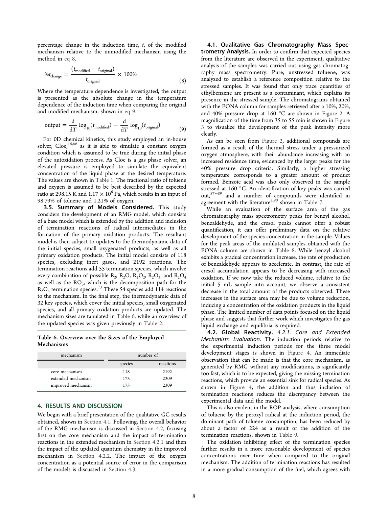percentage change in the induction time, *t*, of the modified mechanism relative to the unmodified mechanism using the method in eq 8.

$$
\%t_{\text{change}} = \frac{(t_{\text{modified}} - t_{\text{original}})}{t_{\text{original}}} \times 100\%
$$
\n(8)

Where the temperature dependence is investigated, the output is presented as the absolute change in the temperature dependence of the induction time when comparing the original and modified mechanism, shown in eq 9.

output = 
$$
\frac{d}{dT} \log_{10}(t_{\text{modified}}) - \frac{d}{dT} \log_{10}(t_{\text{original}})
$$
 (9)

For 0D chemical kinetics, this study employed an in-house solver,  $C\log$ ,<sup>[16](#page-19-0),[86](#page-20-0)</sup> as it is able to simulate a constant oxygen condition which is assumed to be true during the initial phase of the autoxidation process. As Cloe is a gas phase solver, an elevated pressure is employed to simulate the equivalent concentration of the liquid phase at the desired temperature. The values are shown in [Table 1.](#page-4-0) The fractional ratio of toluene and oxygen is assumed to be best described by the expected ratio at 298.15 K and  $1.17 \times 10^6$  Pa, which results in an input of 98.79% of toluene and 1.21% of oxygen.

**3.5. Summary of Models Considered.** This study considers the development of an RMG model, which consists of a base model which is extended by the addition and inclusion of termination reactions of radical intermediates in the formation of the primary oxidation products. The resultant model is then subject to updates to the thermodynamic data of the initial species, small oxygenated products, as well as all primary oxidation products. The initial model consists of 118 species, excluding inert gases, and 2192 reactions. The termination reactions add 55 termination species, which involve every combination of possible  $R_2$ ,  $R_2O$ ,  $R_2O_2$ ,  $R_2O_3$ , and  $R_2O_4$ as well as the  $RO_3$ , which is the decomposition path for the  $R_2O_4$  termination species.<sup>[73](#page-20-0)</sup> These 54 species add 114 reactions to the mechanism. In the final step, the thermodynamic data of 32 key species, which cover the initial species, small oxygenated species, and all primary oxidation products are updated. The mechanism sizes are tabulated in Table 6, while an overview of the updated species was given previously in [Table 2.](#page-4-0)

Table 6. Overview over the Sizes of the Employed Mechanisms

| mechanism          | number of |           |  |  |
|--------------------|-----------|-----------|--|--|
|                    | species   | reactions |  |  |
| core mechanism     | 118       | 2192      |  |  |
| extended mechanism | 173       | 2309      |  |  |
| improved mechanism | 173       | 2309      |  |  |

#### 4. RESULTS AND DISCUSSION

We begin with a brief presentation of the qualitative GC results obtained, shown in Section 4.1. Following, the overall behavior of the RMG mechanism is discussed in Section 4.2, focusing first on the core mechanism and the impact of termination reactions in the extended mechanism in Section 4.2.1 and then the impact of the updated quantum chemistry in the improved mechanism in [Section 4.2.2](#page-10-0). The impact of the oxygen concentration as a potential source of error in the comparison of the models is discussed in [Section 4.3](#page-15-0).

4.1. Qualitative Gas Chromatography Mass Spectrometry Analysis. In order to confirm that expected species from the literature are observed in the experiment, qualitative analysis of the samples was carried out using gas chromatography mass spectrometry. Pure, unstressed toluene, was analyzed to establish a reference composition relative to the stressed samples. It was found that only trace quantities of ethylbenzene are present as a contaminant, which explains its presence in the stressed sample. The chromatograms obtained with the PONA column for samples retrieved after a 10%, 20%, and 40% pressure drop at 160 °C are shown in [Figure 2](#page-9-0). A magnification of the time from 35 to 55 min is shown in [Figure](#page-9-0) [3](#page-9-0) to visualize the development of the peak intensity more clearly.

As can be seen from [Figure 2,](#page-9-0) additional compounds are formed as a result of the thermal stress under a pressurized oxygen atmosphere, with their abundance increasing with an increased residence time, evidenced by the larger peaks for the 40% pressure drop criteria. Similarly, a higher stressing temperature corresponds to a greater amount of product formed. Benzoic acid was also only observed in the sample stressed at 160 °C. An identification of key peaks was carried out,[87](#page-20-0)−[89](#page-20-0) and a number of compounds were identified in agreement with the literature<sup>[2](#page-18-0)[,90](#page-20-0)</sup> shown in [Table 7.](#page-10-0)

While an evaluation of the surface area of the gas chromatography mass spectrometry peaks for benzyl alcohol, benzaldehyde, and the cresol peaks cannot offer a robust quantification, it can offer preliminary data on the relative development of the species concentration in the sample. Values for the peak areas of the undiluted samples obtained with the PONA column are shown in [Table 8](#page-10-0). While benzyl alcohol exhibits a gradual concentration increase, the rate of production of benzaldehyde appears to accelerate. In contrast, the rate of cresol accumulation appears to be decreasing with increased oxidation. If we now take the reduced volume, relative to the initial 5 mL sample into account, we observe a consistent decrease in the total amount of the products observed. These increases in the surface area may be due to volume reduction, inducing a concentration of the oxidation products in the liquid phase. The limited number of data points focused on the liquid phase and suggests that further work which investigates the gas liquid exchange and equilibria is required.

4.2. Global Reactivity. 4.2.1. Core and Extended Mechanism Evaluation. The induction periods relative to the experimental induction periods for the three model development stages is shown in [Figure 4](#page-10-0). An immediate observation that can be made is that the core mechanism, as generated by RMG without any modifications, is significantly too fast, which is to be expected, giving the missing termination reactions, which provide an essential sink for radical species. As shown in [Figure 4](#page-10-0), the addition and thus inclusion of termination reactions reduces the discrepancy between the experimental data and the model.

This is also evident in the ROP analysis, where consumption of toluene by the peroxyl radical at the induction period, the dominant path of toluene consumption, has been reduced by about a factor of 224 as a result of the addition of the termination reactions, shown in [Table 9](#page-11-0).

The oxidation inhibiting effect of the termination species further results in a more reasonable development of species concentrations over time when compared to the original mechanism. The addition of termination reactions has resulted in a more gradual consumption of the fuel, which agrees with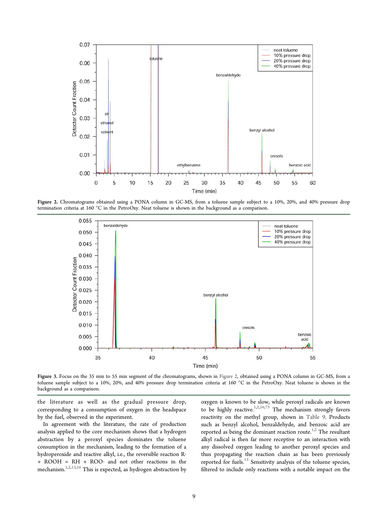<span id="page-9-0"></span>

Figure 2. Chromatograms obtained using a PONA column in GC-MS, from a toluene sample subject to a 10%, 20%, and 40% pressure drop termination criteria at 160 °C in the PetroOxy. Neat toluene is shown in the background as a comparison.



Figure 3. Focus on the 35 min to 55 min segment of the chromatograms, shown in Figure 2, obtained using a PONA column in GC-MS, from a toluene sample subject to a 10%, 20%, and 40% pressure drop termination criteria at 160 °C in the PetroOxy. Neat toluene is shown in the background as a comparison.

the literature as well as the gradual pressure drop, corresponding to a consumption of oxygen in the headspace by the fuel, observed in the experiment.

In agreement with the literature, the rate of production analysis applied to the core mechanism shows that a hydrogen abstraction by a peroxyl species dominates the toluene consumption in the mechanism, leading to the formation of a hydroperoxide and reactive alkyl, i.e., the reversible reaction R· + ROOH = RH + ROO· and not other reactions in the mechanism.<sup>[1,2,](#page-18-0)[13](#page-19-0),[16](#page-19-0)</sup> This is expected, as hydrogen abstraction by

oxygen is known to be slow, while peroxyl radicals are known to be highly reactive. $1,2,16,73$  $1,2,16,73$  $1,2,16,73$  $1,2,16,73$  The mechanism strongly favors reactivity on the methyl group, shown in [Table 9](#page-11-0). Products such as benzyl alcohol, benzaldehyde, and benzoic acid are reported as being the dominant reaction route.<sup>[1,2](#page-18-0)</sup> The resultant alkyl radical is then far more receptive to an interaction with any dissolved oxygen leading to another peroxyl species and thus propagating the reaction chain as has been previously reported for fuels.[13](#page-19-0) Sensitivity analysis of the toluene species, filtered to include only reactions with a notable impact on the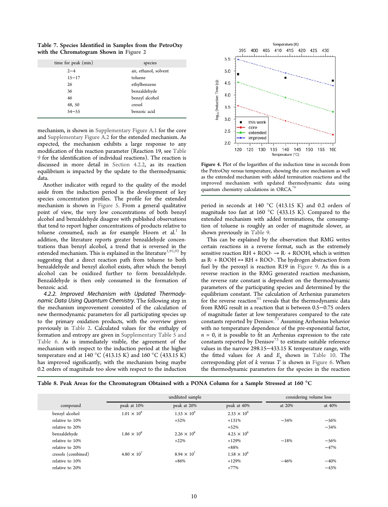<span id="page-10-0"></span>Table 7. Species Identified in Samples from the PetroOxy with the Chromatogram Shown in [Figure 2](#page-9-0)

| time for peak (min) | species               |
|---------------------|-----------------------|
| $2 - 4$             | air, ethanol, solvent |
| $15 - 17$           | toluene               |
| 26                  | ethylbenzene          |
| 36                  | benzaldehyde          |
| 46                  | benzyl alcohol        |
| 48, 50              | cresol                |
| $54 - 55$           | benzoic acid          |
|                     |                       |

mechanism, is shown in [Supplementary Figure A.1](http://pubs.acs.org/doi/suppl/10.1021/acs.energyfuels.7b00416/suppl_file/ef7b00416_si_001.pdf) for the core and [Supplementary Figure A.2](http://pubs.acs.org/doi/suppl/10.1021/acs.energyfuels.7b00416/suppl_file/ef7b00416_si_001.pdf) for the extended mechanism. As expected, the mechanism exhibits a large response to any modification of this reaction parameter (Reaction 19, see [Table](#page-11-0) [9](#page-11-0) for the identification of individual reactions). The reaction is discussed in more detail in Section 4.2.2, as its reaction equilibrium is impacted by the update to the thermodynamic data.

Another indicator with regard to the quality of the model aside from the induction period is the development of key species concentration profiles. The profile for the extended mechanism is shown in [Figure 5.](#page-11-0) From a general qualitative point of view, the very low concentrations of both benzyl alcohol and benzaldehyde disagree with published observations that tend to report higher concentrations of products relative to  $t$ oluene consumed, such as for example Hoorn et al.<sup>[1](#page-18-0)</sup> In addition, the literature reports greater benzaldehyde concentrations than benzyl alcohol, a trend that is reversed in the extended mechanism. This is explained in the literature $^{1,91,92}$  $^{1,91,92}$  $^{1,91,92}$  $^{1,91,92}$  $^{1,91,92}$  $^{1,91,92}$  by suggesting that a direct reaction path from toluene to both benzaldehyde and benzyl alcohol exists, after which the benzyl alcohol can be oxidized further to form benzaldehyde. Benzaldehyde is then only consumed in the formation of benzoic acid.

4.2.2. Improved Mechanism with Updated Thermodynamic Data Using Quantum Chemistry. The following step in the mechanism improvement consisted of the calculation of new thermodynamic parameters for all participating species up to the primary oxidation products, with the overview given previously in [Table 2](#page-4-0). Calculated values for the enthalpy of formation and entropy are given in [Supplementary Table 5 and](http://pubs.acs.org/doi/suppl/10.1021/acs.energyfuels.7b00416/suppl_file/ef7b00416_si_001.pdf) [Table 6.](http://pubs.acs.org/doi/suppl/10.1021/acs.energyfuels.7b00416/suppl_file/ef7b00416_si_001.pdf) As is immediately visible, the agreement of the mechanism with respect to the induction period at the higher temperature end at 140 °C (413.15 K) and 160 °C (433.15 K) has improved significantly, with the mechanism being maybe 0.2 orders of magnitude too slow with respect to the induction



Figure 4. Plot of the logarithm of the induction time in seconds from the PetroOxy versus temperature, showing the core mechanism as well as the extended mechanism with added termination reactions and the improved mechanism with updated thermodynamic data using quantum chemistry calculations in ORCA.<sup>[76](#page-20-0)</sup>

period in seconds at 140 °C (413.15 K) and 0.2 orders of magnitude too fast at 160 °C (433.15 K). Compared to the extended mechanism with added terminations, the consumption of toluene is roughly an order of magnitude slower, as shown previously in [Table 9](#page-11-0).

This can be explained by the observation that RMG writes certain reactions in a reverse format, such as the extremely sensitive reaction  $RH + ROO \rightarrow R \cdot + ROOH$ , which is written as  $R \cdot + ROOH \leftrightarrow RH + ROO \cdot$ . The hydrogen abstraction from fuel by the peroxyl is reaction R19 in [Figure 9.](#page-13-0) As this is a reverse reaction in the RMG generated reaction mechanism, the reverse rate constant is dependent on the thermodynamic parameters of the participating species and determined by the equilibrium constant. The calculation of Arrhenius parameters for the reverse reaction<sup>[93](#page-20-0)</sup> reveals that the thermodynamic data from RMG result in a reaction that is between 0.5−0.75 orders of magnitude faster at low temperatures compared to the rate constants reported by Denisov.[73](#page-20-0) Assuming Arrhenius behavior with no temperature dependence of the pre-exponential factor,  $n = 0$ , it is possible to fit an Arrhenius expression to the rate constants reported by  $D$ enisov $73$  to estimate suitable reference values in the narrow 298.15−433.15 K temperature range, with the fitted values for  $A$  and  $E_a$  shown in [Table 10](#page-11-0). The corresponding plot of *k* versus *T* is shown in [Figure 6](#page-12-0). When the thermodynamic parameters for the species in the reaction

Table 8. Peak Areas for the Chromatogram Obtained with a PONA Column for a Sample Stressed at 160 °C

|                    |                      | undiluted sample     | considering volume loss |        |        |  |
|--------------------|----------------------|----------------------|-------------------------|--------|--------|--|
| compound           | peak at 10%          | peak at 20%          | peak at 40%             | at 20% | at 40% |  |
| benzyl alcohol     | $1.01 \times 10^{9}$ | $1.53 \times 10^{9}$ | $2.33 \times 10^{9}$    |        |        |  |
| relative to 10%    |                      | $+52%$               | $+131%$                 | $-34%$ | $-56%$ |  |
| relative to 20%    |                      |                      | $+52%$                  |        | $-34%$ |  |
| benzaldehyde       | $1.86 \times 10^8$   | $2.26 \times 10^8$   | $4.25 \times 10^8$      |        |        |  |
| relative to 10%    |                      | $+22%$               | $+129%$                 | $-18%$ | $-56%$ |  |
| relative to 20%    |                      |                      | $+88%$                  |        | $-47%$ |  |
| cresols (combined) | $4.80 \times 10^{7}$ | $8.94 \times 10^{7}$ | $1.58 \times 10^8$      |        |        |  |
| relative to 10%    |                      | $+86%$               | $+129%$                 | $-46%$ | $-40%$ |  |
| relative to 20%    |                      |                      | $+77%$                  |        | $-43%$ |  |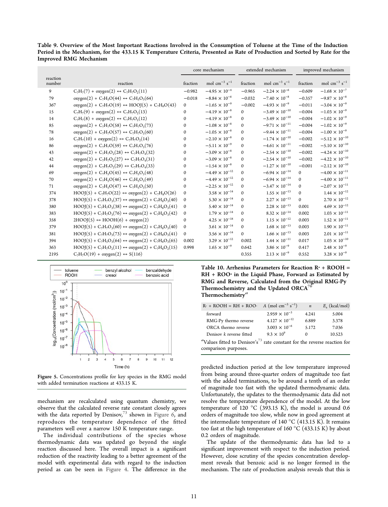<span id="page-11-0"></span>Table 9. Overview of the Most Important Reactions Involved in the Consumption of Toluene at the Time of the Induction Period in the Mechanism, for the 433.15 K Temperature Criteria, Presented as Rate of Production and Sorted by Rate for the Improved RMG Mechanism

|                    |                                                                                                                                   |              | core mechanism           |              | extended mechanism            |          | improved mechanism         |
|--------------------|-----------------------------------------------------------------------------------------------------------------------------------|--------------|--------------------------|--------------|-------------------------------|----------|----------------------------|
| reaction<br>number | reaction                                                                                                                          | fraction     | mol $cm^{-3} s^{-1}$     | fraction     | mol $cm^{-3}$ s <sup>-1</sup> | fraction | mol $cm^{-3} s^{-1}$       |
| 9                  | $C_7H_7(7) + \text{oxygen}(2) \leftrightarrow C_7H_7O_2(11)$                                                                      | $-0.982$     | $-4.95 \times 10^{-4}$   | $-0.965$     | $-2.24 \times 10^{-6}$        | $-0.609$ | $-1.68 \times 10^{-7}$     |
| 79                 | oxygen(2) + C <sub>7</sub> H <sub>5</sub> O(44) $\leftrightarrow$ C <sub>7</sub> H <sub>5</sub> O <sub>3</sub> (64)               | $-0.018$     | $-8.84 \times 10^{-6}$   | $-0.032$     | $-7.40 \times 10^{-8}$        | $-0.357$ | $-9.87 \times 10^{-8}$     |
| 367                | oxygen(2) + C <sub>7</sub> H <sub>7</sub> O(19) $\leftrightarrow$ HOOJ(5) + C <sub>7</sub> H <sub>6</sub> O(43)                   | $\mathbf{0}$ | $-1.65 \times 10^{-9}$   | $-0.002$     | $-4.93 \times 10^{-9}$        | $-0.011$ | $-3.04 \times 10^{-9}$     |
| 15                 | $C_7H_7(9) + \text{oxygen}(2) \leftrightarrow C_7H_7O_2(13)$                                                                      | $\mathbf{0}$ | $-4.19 \times 10^{-8}$   | $\mathbf{0}$ | $-3.49 \times 10^{-10}$       | $-0.004$ | $-1.03 \times 10^{-9}$     |
| 14                 | $C_7H_7(8)$ + oxygen(2) $\leftrightarrow C_7H_7O_2(12)$                                                                           | $\mathbf{0}$ | $-4.19 \times 10^{-8}$   | $\mathbf{0}$ | $-3.49 \times 10^{-10}$       | $-0.004$ | $-1.02\times10^{-9}$       |
| 85                 | oxygen(2) + C <sub>7</sub> H <sub>7</sub> O(58) $\leftrightarrow$ C <sub>7</sub> H <sub>7</sub> O <sub>3</sub> (73)               | $\Omega$     | $-1.08\,\times\,10^{-8}$ | $\Omega$     | $-9.71 \times 10^{-11}$       | $-0.004$ | $-1.02 \times 10^{-9}$     |
| 78                 | oxygen(2) + C <sub>7</sub> H <sub>7</sub> O(57) $\leftrightarrow$ C <sub>7</sub> H <sub>7</sub> O <sub>3</sub> (60)               | $\Omega$     | $-1.05 \times 10^{-8}$   | $\Omega$     | $-9.44 \times 10^{-11}$       | $-0.004$ | $-1.00 \times 10^{-9}$     |
| 16                 | $C_7H_7(10) + oxygen(2) \leftrightarrow C_7H_7O_2(14)$                                                                            | $\Omega$     | $-2.10 \times 10^{-8}$   | $\Omega$     | $-1.74 \times 10^{-10}$       | $-0.002$ | $-5.12 \times 10^{-10}$    |
| 86                 | oxygen(2) + C <sub>7</sub> H <sub>7</sub> O(59) $\leftrightarrow$ C <sub>7</sub> H <sub>7</sub> O <sub>3</sub> (76)               | $\Omega$     | $-5.11 \times 10^{-9}$   | $\Omega$     | $-4.61 \times 10^{-11}$       | $-0.002$ | $-5.10\times10^{-10}$      |
| 43                 | oxygen(2) + C <sub>7</sub> H <sub>7</sub> O <sub>2</sub> (28) $\leftrightarrow$ C <sub>7</sub> H <sub>7</sub> O <sub>4</sub> (32) | $\Omega$     | $-3.09 \times 10^{-8}$   | $\Omega$     | $-2.54 \times 10^{-10}$       | $-0.002$ | $-4.24 \times 10^{-10}$    |
| 42                 | oxygen(2) + C <sub>7</sub> H <sub>7</sub> O <sub>2</sub> (27) $\leftrightarrow$ C <sub>7</sub> H <sub>7</sub> O <sub>4</sub> (31) | $\mathbf{0}$ | $-3.09 \times 10^{-8}$   | $\Omega$     | $-2.54\times10^{-10}$         | $-0.002$ | $-4.22 \times 10^{-10}$    |
| 44                 | oxygen(2) + C <sub>7</sub> H <sub>7</sub> O <sub>2</sub> (29) $\leftrightarrow$ C <sub>7</sub> H <sub>7</sub> O <sub>4</sub> (33) | $\Omega$     | $-1.54 \times 10^{-8}$   | $\Omega$     | $-1.27 \times 10^{-10}$       | $-0.001$ | $-2.12 \times 10^{-10}$    |
| 69                 | oxygen(2) + C <sub>7</sub> H <sub>5</sub> O(45) $\leftrightarrow$ C <sub>7</sub> H <sub>5</sub> O <sub>3</sub> (48)               | $\Omega$     | $-4.49 \times 10^{-12}$  | $\Omega$     | $-6.94 \times 10^{-14}$       | $\Omega$ | $-4.00 \times 10^{-11}$    |
| 70                 | oxygen(2) + C <sub>7</sub> H <sub>5</sub> O(46) $\leftrightarrow$ C <sub>7</sub> H <sub>5</sub> O <sub>3</sub> (49)               | $\mathbf{0}$ | $-4.49 \times 10^{-12}$  | $\Omega$     | $-6.94 \times 10^{-14}$       | $\Omega$ | $-4.00\times10^{-11}$      |
| 71                 | oxygen(2) + C <sub>7</sub> H <sub>5</sub> O(47) $\leftrightarrow$ C <sub>7</sub> H <sub>5</sub> O <sub>3</sub> (50)               | $\Omega$     | $-2.25\times10^{-12}$    | $\Omega$     | $-3.47 \times 10^{-14}$       | $\Omega$ | $-2.07 \times 10^{-11}$    |
| 374                | $HOOJ(5) + C_7H_7O(22) \leftrightarrow oxygen(2) + C_7H_8O(26)$                                                                   | $\Omega$     | $3.58 \times 10^{-14}$   | $\Omega$     | $1.55 \times 10^{-13}$        | $\Omega$ | $1.44 \times 10^{-12}$     |
| 378                | $HOOJ(5) + C_7H_7O_3(37) \leftrightarrow oxygen(2) + C_7H_8O_3(40)$                                                               | $\Omega$     | $5.30 \times 10^{-14}$   | $\Omega$     | $2.27 \times 10^{-13}$        | $\Omega$ | $2.70 \times 10^{-12}$     |
| 380                | $HOOJ(5) + C_7H_7O_3(38) \leftrightarrow oxygen(2) + C_7H_8O_3(41)$                                                               | $\mathbf{0}$ | $5.40 \times 10^{-14}$   | $\Omega$     | $2.28 \times 10^{-13}$        | 0.001    | $4.69 \times 10^{-12}$     |
| 383                | $HOOJ(5) + C_7H_7O_3(76) \leftrightarrow oxygen(2) + C_7H_8O_3(42)$                                                               | $\mathbf{0}$ | $1.79\times10^{-14}$     | $\Omega$     | $8.32\times10^{-14}$          | 0.002    | $1.03$ $\times$ $10^{-11}$ |
| 358                | $2HOOJ(5) \leftrightarrow HOOH(6) + oxygen(2)$                                                                                    | $\mathbf{0}$ | $4.25 \times 10^{-18}$   | $\Omega$     | $1.15 \times 10^{-12}$        | 0.003    | $1.52 \times 10^{-11}$     |
| 379                | $HOOJ(5) + C_7H_7O_3(60) \leftrightarrow oxygen(2) + C_7H_8O_3(40)$                                                               | $\mathbf{0}$ | $3.61 \times 10^{-14}$   | $\Omega$     | $1.68 \times 10^{-13}$        | 0.003    | $1.90\times10^{-11}$       |
| 381                | $HOOJ(5) + C_7H_7O_3(73) \leftrightarrow oxygen(2) + C_7H_8O_3(41)$                                                               | $\Omega$     | $3.56 \times 10^{-14}$   | $\Omega$     | $1.66 \times 10^{-13}$        | 0.003    | $2.01$ $\times$ $10^{-11}$ |
| 394                | $HOOI(5) + C_7H_5O_3(64) \leftrightarrow oxygen(2) + C_7H_6O_3(65)$                                                               | 0.002        | $3.29 \times 10^{-12}$   | 0.002        | $1.44 \times 10^{-11}$        | 0.017    | $1.03 \times 10^{-10}$     |
| 363                | $HOO(5) + C_7H_7O_2(11) \leftrightarrow oxygen(2) + C_7H_8O_2(15)$                                                                | 0.998        | $1.65 \times 10^{-9}$    | 0.642        | $3.86 \times 10^{-9}$         | 0.417    | $2.48 \times 10^{-9}$      |
| 2195               | $C_7H_7O(19) + \text{oxygen}(2) \leftrightarrow S(116)$                                                                           |              |                          | 0.355        | $2.13 \times 10^{-9}$         | 0.552    | $3.28 \times 10^{-9}$      |
|                    |                                                                                                                                   |              |                          |              |                               |          |                            |



Figure 5. Concentrations profile for key species in the RMG model with added termination reactions at 433.15 K.

mechanism are recalculated using quantum chemistry, we observe that the calculated reverse rate constant closely agrees with the data reported by Denisov, $73$  shown in [Figure 6,](#page-12-0) and reproduces the temperature dependence of the fitted parameters well over a narrow 150 K temperature range.

The individual contributions of the species whose thermodynamic data was updated go beyond the single reaction discussed here. The overall impact is a significant reduction of the reactivity leading to a better agreement of the model with experimental data with regard to the induction period as can be seen in [Figure 4](#page-10-0). The difference in the

Table 10. Arrhenius Parameters for Reaction  $R^*$  + ROOH =  $RH + ROO·$  in the Liquid Phase, Forward as Estimated by RMG and Reverse, Calculated from the Original RMG-Py Thermochemistry and the Updated ORCA<sup>7</sup> Thermochemistry<sup>a</sup>

| $R_1 + ROOH = RH + ROO$                                                                                 | A (mol cm <sup>-3</sup> s <sup>-1</sup> ) | $\boldsymbol{n}$ | $E_{\rm g}$ (kcal/mol) |  |  |  |  |  |
|---------------------------------------------------------------------------------------------------------|-------------------------------------------|------------------|------------------------|--|--|--|--|--|
| forward                                                                                                 | $2.959 \times 10^{-3}$                    | 4.241            | 5.004                  |  |  |  |  |  |
| RMG-Py thermo reverse                                                                                   | $4.127 \times 10^{-12}$                   | 6.889            | 3.378                  |  |  |  |  |  |
| ORCA thermo reverse                                                                                     | $3.003 \times 10^{-6}$                    | 5.172            | 7.036                  |  |  |  |  |  |
| Denisov k reverse fitted                                                                                | $9.3 \times 10^{9}$                       | 0                | 10.523                 |  |  |  |  |  |
| <sup><i>a</i></sup> Values fitted to Denisov's <sup>73</sup> rate constant for the reverse reaction for |                                           |                  |                        |  |  |  |  |  |
| comparison purposes.                                                                                    |                                           |                  |                        |  |  |  |  |  |

predicted induction period at the low temperature improved from being around three-quarter orders of magnitude too fast with the added terminations, to be around a tenth of an order of magnitude too fast with the updated thermodynamic data. Unfortunately, the updates to the thermodynamic data did not resolve the temperature dependence of the model. At the low temperature of 120 °C (393.15 K), the model is around 0.6 orders of magnitude too slow, while now in good agreement at the intermediate temperature of 140 °C (413.15 K). It remains too fast at the high temperature of 160  $\rm{^{\circ}C}$  (433.15 K) by about 0.2 orders of magnitude.

The update of the thermodynamic data has led to a significant improvement with respect to the induction period. However, close scrutiny of the species concentration development reveals that benzoic acid is no longer formed in the mechanism. The rate of production analysis reveals that this is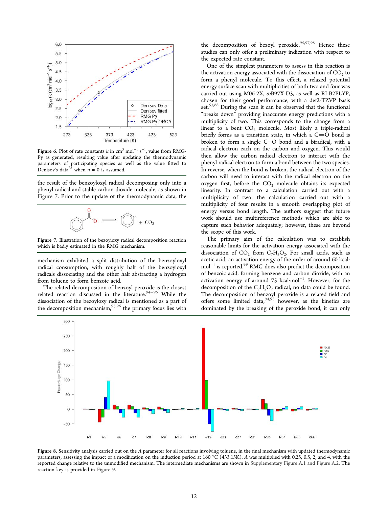<span id="page-12-0"></span>

Figure 6. Plot of rate constants  $k$  in cm<sup>3</sup> mol<sup>-1</sup> s<sup>-1</sup>, value from RMG-Py as generated, resulting value after updating the thermodynamic parameters of participating species as well as the value fitted to Denisov's data<sup>[73](#page-20-0)</sup> when  $n = 0$  is assumed.

the result of the benzoyloxyl radical decomposing only into a phenyl radical and stable carbon dioxide molecule, as shown in Figure 7. Prior to the update of the thermodynamic data, the



Figure 7. Illustration of the bezoyloxy radical decomposition reaction which is badly estimated in the RMG mechanism.

mechanism exhibited a split distribution of the benzoyloxyl radical consumption, with roughly half of the benzoyloxyl radicals dissociating and the other half abstracting a hydrogen from toluene to form benzoic acid.

The related decomposition of benzoyl peroxide is the closest related reaction discussed in the literature.<sup>[94](#page-20-0)−[96](#page-20-0)</sup> While the dissociation of the bezoyloxy radical is mentioned as a part of the decomposition mechanism,  $95,96$  the primary focus lies with

the decomposition of bezoyl peroxide. $95,97,98$  $95,97,98$  $95,97,98$  Hence these studies can only offer a preliminary indication with respect to the expected rate constant.

One of the simplest parameters to assess in this reaction is the activation energy associated with the dissociation of  $\mathrm{CO}_2$  to form a phenyl molecule. To this effect, a relaxed potential energy surface scan with multiplicities of both two and four was carried out using M06-2X, ωB97X-D3, as well as RI-B2PLYP, chosen for their good performance, with a def2-TZVP basis set.<sup>[53](#page-19-0)[,68](#page-20-0)</sup> During the scan it can be observed that the functional "breaks down" providing inaccurate energy predictions with a multiplicity of two. This corresponds to the change from a linear to a bent  $CO<sub>2</sub>$  molecule. Most likely a triple-radical briefly forms as a transition state, in which a  $C=O$  bond is broken to form a single C−O bond and a biradical, with a radical electron each on the carbon and oxygen. This would then allow the carbon radical electron to interact with the phenyl radical electron to form a bond between the two species. In reverse, when the bond is broken, the radical electron of the carbon will need to interact with the radical electron on the oxygen first, before the  $CO<sub>2</sub>$  molecule obtains its expected linearity. In contrast to a calculation carried out with a multiplicity of two, the calculation carried out with a multiplicity of four results in a smooth overlapping plot of energy versus bond length. The authors suggest that future work should use multireference methods which are able to capture such behavior adequately; however, these are beyond the scope of this work.

The primary aim of the calculation was to establish reasonable limits for the activation energy associated with the dissociation of  $CO_2$  from  $C_7H_5O_2$ . For small acids, such as acetic acid, an activation energy of the order of around 60 kcal· mol<sup>-1</sup> is reported.<sup>[99](#page-21-0)</sup> RMG does also predict the decomposition of benzoic acid, forming benzene and carbon dioxide, with an activation energy of around 75 kcal·mol<sup>−</sup><sup>1</sup> . However, for the decomposition of the  $C_7H_5O_2$  radical, no data could be found. The decomposition of benzoyl peroxide is a related field and offers some limited data;  $94,95$  $94,95$  $94,95$  however, as the kinetics are dominated by the breaking of the peroxide bond, it can only



Figure 8. Sensitivity analysis carried out on the *A* parameter for all reactions involving toluene, in the final mechanism with updated thermodynamic parameters, assessing the impact of a modification on the induction period at 160 °C (433.15K). *A* was multiplied with 0.25, 0.5, 2, and 4, with the reported change relative to the unmodified mechanism. The intermediate mechanisms are shown in [Supplementary Figure A.1 and Figure A.2](http://pubs.acs.org/doi/suppl/10.1021/acs.energyfuels.7b00416/suppl_file/ef7b00416_si_001.pdf). The reaction key is provided in [Figure 9](#page-13-0).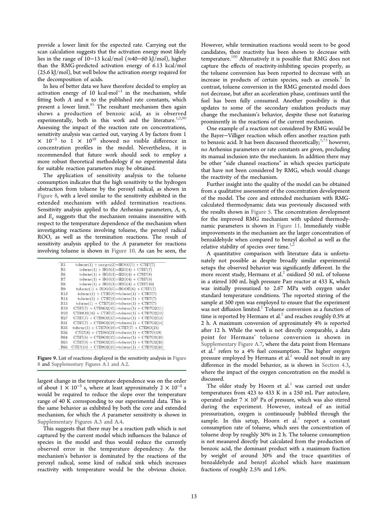<span id="page-13-0"></span>provide a lower limit for the expected rate. Carrying out the scan calculation suggests that the activation energy most likely lies in the range of 10−13 kcal/mol (≈40−60 kJ/mol), higher than the RMG-predicted activation energy of 6.13 kcal/mol (25.6 kJ/mol), but well below the activation energy required for the decomposition of acids.

In lieu of better data we have therefore decided to employ an activation energy of 10 kcal·mol<sup>-1</sup> in the mechanism, while fitting both *A* and *n* to the published rate constants, which present a lower limit.<sup>[95](#page-20-0)</sup> The resultant mechanism then again shows a production of benzoic acid, as is observed experimentally, both in this work and the literature.<sup>[1,2](#page-18-0)[,90](#page-20-0)</sup> Assessing the impact of the reaction rate on concentrations, sensitivity analysis was carried out, varying *A* by factors from 1  $\times$  10<sup>-3</sup> to 1  $\times$  10<sup>10</sup> showed no visible difference in concentration profiles in the model. Nevertheless, it is recommended that future work should seek to employ a more robust theoretical methodology if no experimental data for suitable reaction parameters may be obtained.

The application of sensitivity analysis to the toluene consumption indicates that the high sensitivity to the hydrogen abstraction from toluene by the peroxyl radical, as shown in [Figure 8,](#page-12-0) with a level similar to the sensitivity exhibited in the extended mechanism with added termination reactions. Sensitivity analysis applied to the Arrhenius parameters, *A*, *n*, and *E*<sup>a</sup> suggests that the mechanism remains insensitive with respect to the temperature dependence of the mechanism when investigating reactions involving toluene, the peroxyl radical ROO, as well as the termination reactions. The result of sensitivity analysis applied to the *A* parameter for reactions involving toluene is shown in [Figure 10](#page-14-0). As can be seen, the

| R1         | $\text{toluene}(1) + \text{oxygen}(2) = \text{HOOJ}(5) + \text{C7II7}(7)$    |
|------------|------------------------------------------------------------------------------|
| R5         | $toluene(1) + HOJ(3)=H2O(4) + C7H7(7)$                                       |
| R6         | $toluene(1) + HOJ(3)=H2O(4) + C7H7(8)$                                       |
| R7         | $toluene(1) + HOJ(3) = H2O(4) + C7H7(9)$                                     |
| R8         | $toluene(1) + HOJ(3)=H2O(4) + C7H7(10)$                                      |
| R9         | $toluene(1) + IIOOJ(5) = IIOOII(6) + C7II7(7)$                               |
| R13        | $\text{tolnene}(1) + \text{C7II7}(8) = \text{toluene}(1) + \text{C7II7}(7)$  |
| <b>R14</b> | $toluene(1) + C7II7(9) = toluene(1) + C7II7(7)$                              |
| R15        | $\text{toluene}(1) + \text{C7II7}(10) = \text{toluene}(1) + \text{C7II7}(7)$ |
| R19        | $CTII7(7) + CTII8O2(15) = \text{toluene}(1) + CTII7O2(11)$                   |
| R23        | $C7II8O2(16) + C7II7(7) =$ toluene $(1) + C7II7O2(12)$                       |
| <b>R27</b> | $C7II7(7) + C7II8O2(17) =$ toluene $(1) + C7II7O2(13)$                       |
| R31        | $C7II7(7) + C7II8O2(18) =$ toluene(1) + C7II7O2(14)                          |
| R35        | $toluene(1) + C7II7O(19) = C7II7(7) + C7II8O(23)$                            |
| <b>R36</b> | $C7II7(8) + C7II8O(23) =$ toluene $(1) + C7II7O(19)$                         |
| R64        | $C7II7(8) + C7II8O2(15) =$ toluene $(1) + C7II7O2(30)$                       |
| R65        | $C7II7(9) + C7II8O2(15) =$ toluene $(1) + C7II7O2(30)$                       |
| <b>R66</b> | $C7H7(10) + C7H8O2(15) =$ toluene $(1) + C7H7O2(30)$                         |

Figure 9. List of reactions displayed in the sensitivity analysis in [Figure](#page-12-0) [8](#page-12-0) and [Supplementary Figures A.1 and A.2.](http://pubs.acs.org/doi/suppl/10.1021/acs.energyfuels.7b00416/suppl_file/ef7b00416_si_001.pdf)

largest change in the temperature dependence was on the order of about  $1 \times 10^{-3}$  s, where at least approximately  $2 \times 10^{-2}$  s would be required to reduce the slope over the temperature range of 40 K corresponding to our experimental data. This is the same behavior as exhibited by both the core and extended mechanism, for which the *A* parameter sensitivity is shown in [Supplementary Figures A.3 and A.4.](http://pubs.acs.org/doi/suppl/10.1021/acs.energyfuels.7b00416/suppl_file/ef7b00416_si_001.pdf)

This suggests that there may be a reaction path which is not captured by the current model which influences the balance of species in the model and thus would reduce the currently observed error in the temperature dependency. As the mechanism's behavior is dominated by the reactions of the peroxyl radical, some kind of radical sink which increases reactivity with temperature would be the obvious choice.

However, while termination reactions would seem to be good candidates, their reactivity has been shown to decrease with temperature.[100](#page-21-0) Alternatively it is possible that RMG does not capture the effects of reactivity-inhibiting species properly, as the toluene conversion has been reported to decrease with an increase in products of certain species, such as cresols. $2$  In contrast, toluene conversion in the RMG generated model does not decrease, but after an acceleration phase, continues until the fuel has been fully consumed. Another possibility is that updates to some of the secondary oxidation products may change the mechanism's behavior, despite these not featuring prominently in the reactions of the current mechanism.

One example of a reaction not considered by RMG would be the Bayer−Villiger reaction which offers another reaction path to benzoic acid. It has been discussed theoretically; $1,73$  $1,73$  however, no Arrhenius parameters or rate constants are given, precluding its manual inclusion into the mechanism. In addition there may be other "side channel reactions" in which species participate that have not been considered by RMG, which would change the reactivity of the mechanism.

Further insight into the quality of the model can be obtained from a qualitative assessment of the concentration development of the model. The core and extended mechanism with RMGcalculated thermodynamic data was previously discussed with the results shown in [Figure 5.](#page-11-0) The concentration development for the improved RMG mechanism with updated thermodynamic parameters is shown in [Figure 11.](#page-14-0) Immediately visible improvements in the mechanism are the larger concentration of benzaldehyde when compared to benzyl alcohol as well as the relative stability of species over time.<sup>[1](#page-18-0),[2](#page-18-0)</sup>

A quantitative comparison with literature data is unfortunately not possible as despite broadly similar experimental setups the observed behavior was significantly different. In the more recent study, Hermans et al.<sup>[2](#page-18-0)</sup> oxidized 50 mL of toluene in a stirred 100 mL high pressure Parr reactor at 433 K, which was initially pressurized to 2.67 MPa with oxygen under standard temperature conditions. The reported stirring of the sample at 500 rpm was employed to ensure that the experiment was not diffusion limited. $^{2}$  $^{2}$  $^{2}$  Toluene conversion as a function of time is reported by Hermans et al. $^2$  $^2$  and reaches roughly 0.3% at 2 h. A maximum conversion of approximately 4% is reported after 12 h. While the work is not directly comparable, a data point for Hermans' toluene conversion is shown in [Supplementary Figure A.7](http://pubs.acs.org/doi/suppl/10.1021/acs.energyfuels.7b00416/suppl_file/ef7b00416_si_001.pdf), where the data point from Hermans et al.<sup>[2](#page-18-0)</sup> refers to a 4% fuel consumption. The higher oxygen pressure employed by Hermans et al. $^{2}$  $^{2}$  $^{2}$  would not result in any difference in the model behavior, as is shown in [Section 4.3,](#page-15-0) where the impact of the oxygen concentration on the model is discussed.

The older study by Hoorn et al. $1$  was carried out under temperatures from 423 to 433 K in a 250 mL Parr autoclave, operated under  $7 \times 10^5$  Pa of pressure, which was also stirred during the experiment. However, instead of an initial pressurization, oxygen is continuously bubbled through the sample. In this setup, Hoorn et  $al.$ <sup>[1](#page-18-0)</sup> report a constant consumption rate of toluene, which sees the concentration of toluene drop by roughly 30% in 2 h. The toluene consumption is not measured directly but calculated from the production of benzoic acid, the dominant product with a maximum fraction by weight of around 30% and the trace quantities of benzaldehyde and benzyl alcohol which have maximum fractions of roughly 2.5% and 1.6%.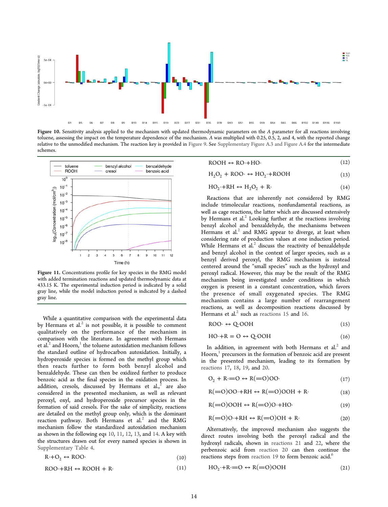<span id="page-14-0"></span>

Figure 10. Sensitivity analysis applied to the mechanism with updated thermodynamic parameters on the *A* parameter for all reactions involving toluene, assessing the impact on the temperature dependence of the mechanism. *A* was multiplied with 0.25, 0.5, 2, and 4, with the reported change relative to the unmodified mechanism. The reaction key is provided in [Figure 9.](#page-13-0) See [Supplementary Figure A.3 and Figure A.4](http://pubs.acs.org/doi/suppl/10.1021/acs.energyfuels.7b00416/suppl_file/ef7b00416_si_001.pdf) for the intermediate schemes.



Figure 11. Concentrations profile for key species in the RMG model with added termination reactions and updated thermodynamic data at 433.15 K. The experimental induction period is indicated by a solid gray line, while the model induction period is indicated by a dashed gray line.

While a quantitative comparison with the experimental data by Hermans et al.<sup>[2](#page-18-0)</sup> is not possible, it is possible to comment qualitatively on the performance of the mechanism in comparison with the literature. In agreement with Hermans et al. $^2$  $^2$  and Hoorn, $^1$  $^1$  the toluene autoxidation mechanism follows the standard outline of hydrocarbon autoxidation. Initially, a hydroperoxide species is formed on the methyl group which then reacts further to form both benzyl alcohol and benzaldehyde. These can then be oxidized further to produce benzoic acid as the final species in the oxidation process. In addition, cresols, discussed by Hermans et al., $^2$  $^2$  are also considered in the presented mechanism, as well as relevant peroxyl, oxyl, and hydroperoxide precursor species in the formation of said cresols. For the sake of simplicity, reactions are detailed on the methyl group only, which is the dominant reaction pathway. Both Hermans et al.<sup>[2](#page-18-0)</sup> and the RMG mechanism follow the standardized autoxidation mechanism as shown in the following eqs 10, 11, 12, 13, and 14. A key with the structures drawn out for every named species is shown in [Supplementary Table 4](http://pubs.acs.org/doi/suppl/10.1021/acs.energyfuels.7b00416/suppl_file/ef7b00416_si_001.pdf).

$$
R \cdot + O_2 \leftrightarrow \text{ROO} \cdot (10)
$$

$$
ROO+RH \leftrightarrow ROOH + R \tag{11}
$$

$$
ROOH \leftrightarrow RO \cdot + HO \cdot \tag{12}
$$

 $H_2O_2 + ROO \cdot \leftrightarrow HO_2 \cdot + ROOH$  (13)

$$
HO_2 \cdot + RH \leftrightarrow H_2O_2 + R \cdot \tag{14}
$$

Reactions that are inherently not considered by RMG include trimolecular reactions, nonfundamental reactions, as well as cage reactions, the latter which are discussed extensively by Hermans et al.<sup>[2](#page-18-0)</sup> Looking further at the reactions involving benzyl alcohol and benzaldehyde, the mechanisms between Hermans et al. $2$  and RMG appear to diverge, at least when considering rate of production values at one induction period. While Hermans et  $al<sup>2</sup>$  $al<sup>2</sup>$  $al<sup>2</sup>$  discuss the reactivity of benzaldehyde and benzyl alcohol in the context of larger species, such as a benzyl derived peroxyl, the RMG mechanism is instead centered around the "small species" such as the hydroxyl and peroxyl radical. However, this may be the result of the RMG mechanism being investigated under conditions in which oxygen is present in a constant concentration, which favors the presence of small oxygenated species. The RMG mechanism contains a large number of rearrangement reactions, as well as decomposition reactions discussed by Hermans et al. $^2$  $^2$  such as reactions 15 and 16.

$$
ROO \leftrightarrow Q \cdot OOH \tag{15}
$$

$$
HO \cdot + R = O \leftrightarrow Q \cdot OOH \tag{16}
$$

In addition, in agreement with both Hermans et  $al.^2$  $al.^2$  and Hoorn,<sup>[1](#page-18-0)</sup> precursors in the formation of benzoic acid are present in the presented mechanism, leading to its formation by reactions 17, 18, 19, and 20.

$$
O_2 + R = O \leftrightarrow R(=O)OO
$$
 (17)

$$
R(=0)OO+RH \leftrightarrow R(=0)OOH + R \tag{18}
$$

$$
R(=O)OOH \leftrightarrow R(=O)O\cdot + HO\cdot \tag{19}
$$

$$
R(=O)O+RH \leftrightarrow R(=O)OH + R
$$
 (20)

Alternatively, the improved mechanism also suggests the direct routes involving both the peroxyl radical and the hydroxyl radicals, shown in reactions 21 and [22](#page-15-0), where the perbenzoic acid from reaction 20 can then continue the reactions steps from reaction 19 to form benzoic acid.<sup>[6](#page-18-0)</sup>

$$
HO_2 \cdot + R \cdot = O \leftrightarrow R(=O)OOH \tag{21}
$$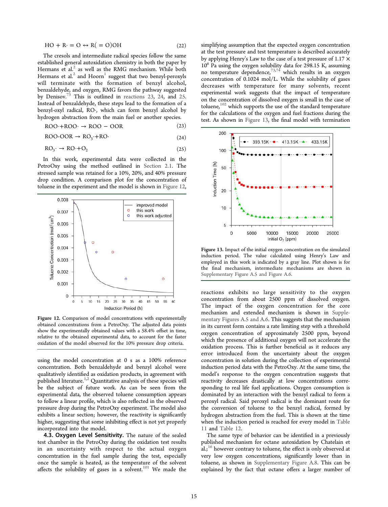<span id="page-15-0"></span>
$$
HO + R \cdot = O \leftrightarrow R( = O)OH \tag{22}
$$

The cresols and intermediate radical species follow the same established general autoxidation chemistry in both the paper by Hermans et al.<sup>[2](#page-18-0)</sup> as well as the RMG mechanism. While both Hermans et al. $^2$  $^2$  and Hoorn $^1$  $^1$  suggest that two benzyl-peroxyls will terminate with the formation of benzyl alcohol, benzaldehyde, and oxygen, RMG favors the pathway suggested by Denisov.[73](#page-20-0) This is outlined in reactions 23, 24, and 25. Instead of benzaldehyde, these steps lead to the formation of a benzyl-oxyl radical, RO·, which can form benzyl alcohol by hydrogen abstraction from the main fuel or another species.

$$
ROO+ROO \rightarrow ROO - OOR \tag{23}
$$

$$
ROO-OOR \to RO_3 \cdot + RO \tag{24}
$$

$$
RO_3 \cdot \rightarrow RO \cdot + O_2 \tag{25}
$$

In this work, experimental data were collected in the PetroOxy using the method outlined in [Section 2.1](#page-1-0). The stressed sample was retained for a 10%, 20%, and 40% pressure drop condition. A comparison plot for the concentration of toluene in the experiment and the model is shown in Figure 12,



Figure 12. Comparison of model concentrations with experimentally obtained concentrations from a PetroOxy. The adjusted data points show the experimentally obtained values with a 58.4% offset in time, relative to the obtained experimental data, to account for the faster oxidation of the model observed for the 10% pressure drop criteria.

using the model concentration at 0 s as a 100% reference concentration. Both benzaldehyde and benzyl alcohol were qualitatively identified as oxidation products, in agreement with published literature. $1,2$  Quantitative analysis of these species will be the subject of future work. As can be seen from the experimental data, the observed toluene consumption appears to follow a linear profile, which is also reflected in the observed pressure drop during the PetroOxy experiment. The model also exhibits a linear section; however, the reactivity is significantly higher, suggesting that some inhibiting effect is not yet properly incorporated into the model.

4.3. Oxygen Level Sensitivity. The nature of the sealed test chamber in the PetroOxy during the oxidation test results in an uncertainty with respect to the actual oxygen concentration in the fuel sample during the test, especially once the sample is heated, as the temperature of the solvent affects the solubility of gases in a solvent.<sup>[101](#page-21-0)</sup> We made the

simplifying assumption that the expected oxygen concentration at the test pressure and test temperature is described accurately by applying Henry's Law to the case of a test pressure of  $1.17 \times$  $10<sup>6</sup>$  Pa using the oxygen solubility data for 298.15 K, assuming no temperature dependence,  $73,74$  which results in an oxygen concentration of 0.1024 mol/L. While the solubility of gases decreases with temperature for many solvents, recent experimental work suggests that the impact of temperature on the concentration of dissolved oxygen is small in the case of toluene, $102$  which supports the use of the standard temperature for the calculations of the oxygen and fuel fractions during the test. As shown in Figure 13, the final model with termination



Figure 13. Impact of the initial oxygen concentration on the simulated induction period. The value calculated using Henry's Law and employed in this work is indicated by a gray line. Plot shown is for the final mechanism, intermediate mechanisms are shown in [Supplementary Figure A.5 and Figure A.6](http://pubs.acs.org/doi/suppl/10.1021/acs.energyfuels.7b00416/suppl_file/ef7b00416_si_001.pdf).

reactions exhibits no large sensitivity to the oxygen concentration from about 2500 ppm of dissolved oxygen. The impact of the oxygen concentration for the core mechanism and extended mechanism is shown in [Supple](http://pubs.acs.org/doi/suppl/10.1021/acs.energyfuels.7b00416/suppl_file/ef7b00416_si_001.pdf)[mentary Figures A.5 and A.6.](http://pubs.acs.org/doi/suppl/10.1021/acs.energyfuels.7b00416/suppl_file/ef7b00416_si_001.pdf) This suggests that the mechanism in its current form contains a rate limiting step with a threshold oxygen concentration of approximately 2500 ppm, beyond which the presence of additional oxygen will not accelerate the oxidation process. This is further beneficial as it reduces any error introduced from the uncertainty about the oxygen concentration in solution during the collection of experimental induction period data with the PetroOxy. At the same time, the model's response to the oxygen concentration suggests that reactivity decreases drastically at low concentrations corresponding to real life fuel applications. Oxygen consumption is dominated by an interaction with the benzyl radical to form a peroxyl radical. Said peroxyl radical is the dominant route for the conversion of toluene to the benzyl radical, formed by hydrogen abstraction from the fuel. This is shown at the time when the induction period is reached for every model in [Table](#page-16-0) [11](#page-16-0) and [Table 12.](#page-16-0)

The same type of behavior can be identified in a previously published mechanism for octane autoxidation by Chatelain et  $aL;$ <sup>[16](#page-19-0)</sup> however contrary to toluene, the effect is only observed at very low oxygen concentrations, significantly lower than in toluene, as shown in [Supplementary Figure A.8.](http://pubs.acs.org/doi/suppl/10.1021/acs.energyfuels.7b00416/suppl_file/ef7b00416_si_001.pdf) This can be explained by the fact that octane offers a larger number of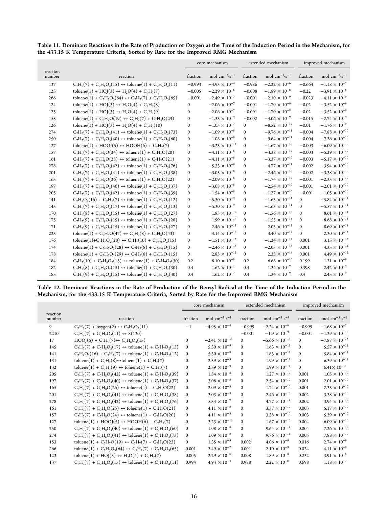|                    |                                                                                                                                                                        |                  | core mechanism                 |                  | extended mechanism         |              | improved mechanism             |
|--------------------|------------------------------------------------------------------------------------------------------------------------------------------------------------------------|------------------|--------------------------------|------------------|----------------------------|--------------|--------------------------------|
| reaction<br>number | reaction                                                                                                                                                               | fraction         | mol $cm^{-3} \cdot s^{-1}$     | fraction         | mol $cm^{-3} \cdot s^{-1}$ | fraction     | mol $cm^{-3} \cdot s^{-1}$     |
| 137                | $C_7H_7(7) + C_7H_8O_2(15) \leftrightarrow$ toluene(1) + $C_7H_7O_2(11)$                                                                                               | $-0.993$         | $-4.93 \times 10^{-4}$         | $-0.986$         | $-2.22 \times 10^{-6}$     | $-0.664$     | $-1.18\,\times\,10^{-7}$       |
| 123                | toluene(1) + HOJ(3) $\leftrightarrow$ H <sub>2</sub> O(4) + C <sub>7</sub> H <sub>7</sub> (7)                                                                          | $-0.005$         | $-2.29 \times 10^{-6}$         | $-0.008$         | $-1.89 \times 10^{-8}$     | $-0.22$      | $-3.91 \times 10^{-8}$         |
| 266                | toluene(1) + C <sub>7</sub> H <sub>5</sub> O <sub>3</sub> (64) $\leftrightarrow$ C <sub>7</sub> H <sub>7</sub> (7) + C <sub>7</sub> H <sub>6</sub> O <sub>3</sub> (65) | $-0.001$         | $-2.49 \times 10^{-7}$         | $-0.001$         | $-2.10 \times 10^{-9}$     | $-0.023$     | $-4.11$ $\times$ $10^{-9}$     |
| 124                | toluene(1) + HOJ(3) $\leftrightarrow$ H <sub>2</sub> O(4) + C <sub>7</sub> H <sub>7</sub> (8)                                                                          | 0                | $-2.06\times10^{-7}$           | $-0.001$         | $-1.70 \times 10^{-9}$     | $-0.02$      | $-3.52 \times 10^{-9}$         |
| 125                | toluene(1) + HOJ(3) $\leftrightarrow$ H <sub>2</sub> O(4) + C <sub>7</sub> H <sub>7</sub> (9)                                                                          | $\boldsymbol{0}$ | $-2.06 \times 10^{-7}$         | $-0.001$         | $-1.70 \times 10^{-9}$     | $-0.02$      | $-3.52 \times 10^{-9}$         |
| 153                | toluene(1) + C <sub>7</sub> H <sub>7</sub> O(19) $\leftrightarrow$ C <sub>7</sub> H <sub>7</sub> (7) + C <sub>7</sub> H <sub>8</sub> O(23)                             | $\mathbf 0$      | $-1.35 \times 10^{-9}$         | $-0.002$         | $-4.06 \times 10^{-9}$     | $-0.015$     | $-2.74 \times 10^{-9}$         |
| 126                | toluene(1) + HOJ(3) ↔ H <sub>2</sub> O(4) + C <sub>7</sub> H <sub>7</sub> (10)                                                                                         | $\mathbf 0$      | $-1.03 \times 10^{-7}$         | $\mathbf{0}$     | $-8.52 \times 10^{-10}$    | $-0.01$      | $-1.76 \times 10^{-9}$         |
| 274                | $C_7H_7(7) + C_7H_8O_3(41) \leftrightarrow$ toluene(1) + $C_7H_7O_3(73)$                                                                                               | $\boldsymbol{0}$ | $-1.09 \times 10^{-8}$         | $\mathbf{0}$     | $-9.76 \times 10^{-11}$    | $-0.004$     | $-7.88 \times 10^{-10}$        |
| 250                | $C_7H_7(7) + C_7H_8O_3(40) \leftrightarrow$ toluene(1) + $C_7H_7O_3(60)$                                                                                               | $\boldsymbol{0}$ | $-1.08 \times 10^{-8}$         | $\mathbf{0}$     | $-9.64 \times 10^{-11}$    | $-0.004$     | $-7.26 \times 10^{-10}$        |
| 127                | toluene(1) + HOOJ(5) $\leftrightarrow$ HOOH(6) + C <sub>7</sub> H <sub>7</sub> (7)                                                                                     | $\boldsymbol{0}$ | $-3.23 \times 10^{-13}$        | $\mathbf{0}$     | $-1.67 \times 10^{-10}$    | $-0.003$     | $-6.09 \times 10^{-10}$        |
| 157                | $C_7H_7(7) + C_7H_8O(24) \leftrightarrow$ toluene(1) + $C_7H_7O(20)$                                                                                                   | $\boldsymbol{0}$ | $-4.11 \times 10^{-8}$         | $\mathbf{0}$     | $-3.38 \times 10^{-10}$    | $-0.003$     | $-5.29 \times 10^{-10}$        |
| 161                | $C_7H_7(7) + C_7H_8O(25) \leftrightarrow$ toluene(1) + $C_7H_7O(21)$                                                                                                   | $\boldsymbol{0}$ | $-4.11 \times 10^{-8}$         | $\boldsymbol{0}$ | $-3.37 \times 10^{-10}$    | $-0.003$     | $-5.17 \times 10^{-10}$        |
| 278                | $C_7H_7(7) + C_7H_8O_3(42) \leftrightarrow \text{toluene}(1) + C_7H_7O_3(76)$                                                                                          | $\boldsymbol{0}$ | $-5.33 \times 10^{-9}$         | $\boldsymbol{0}$ | $-4.77 \times 10^{-11}$    | $-0.002$     | $-3.94 \times 10^{-10}$        |
| 201                | $C_7H_7(7) + C_7H_8O_3(41) \leftrightarrow$ toluene(1) + $C_7H_7O_3(38)$                                                                                               | $\boldsymbol{0}$ | $-3.03 \times 10^{-8}$         | $\boldsymbol{0}$ | $-2.46 \times 10^{-10}$    | $-0.002$     | $-3.38 \times 10^{-10}$        |
| 165                | $C_7H_7(7) + C_7H_8O(26) \leftrightarrow \text{toluene}(1) + C_7H_7O(22)$                                                                                              | 0                | $-2.09 \times 10^{-8}$         | 0                | $-1.74 \times 10^{-10}$    | $-0.001$     | $-2.33 \times 10^{-10}$        |
| 197                | $C_7H_7(7) + C_7H_8O_3(40) \leftrightarrow$ toluene(1) + $C_7H_7O_3(37)$                                                                                               | $\boldsymbol{0}$ | $-3.08 \times 10^{-8}$         | 0                | $-2.54 \times 10^{-10}$    | $-0.001$     | $-2.01$<br>$\times$ $10^{-10}$ |
| 205                | $C_7H_7(7) + C_7H_8O_3(42) \leftrightarrow$ toluene(1) + $C_7H_7O_3(39)$                                                                                               | $\mathbf 0$      | $-1.54\times10^{-8}$           | $\mathbf{0}$     | $-1.27 \times 10^{-10}$    | $-0.001$     | $-1.05 \times 10^{-10}$        |
| 141                | $C_7H_8O_2(16) + C_7H_7(7) \leftrightarrow$ toluene(1) + $C_7H_7O_2(12)$                                                                                               | $\boldsymbol{0}$ | $-5.30 \times 10^{-9}$         | 0                | $-1.63 \times 10^{-11}$    | 0            | $-5.84\times10^{-11}$          |
| 145                | $C_7H_7(7) + C_7H_8O_2(17) \leftrightarrow$ toluene(1) + $C_7H_7O_2(13)$                                                                                               | $\boldsymbol{0}$ | $-5.30 \times 10^{-9}$         | $\boldsymbol{0}$ | $-1.63 \times 10^{-11}$    | $\mathbf{0}$ | $-5.57\times10^{-11}$          |
| 170                | $C_7H_7(8) + C_7H_8O_2(15) \leftrightarrow$ toluene(1) + $C_7H_7O_2(27)$                                                                                               | $\boldsymbol{0}$ | $1.85 \times 10^{-17}$         | $\mathbf{0}$     | $-1.56 \times 10^{-18}$    | $\Omega$     | $8.61 \times 10^{-14}$         |
| 175                | $C_7H_7(9) + C_7H_8O_2(15) \leftrightarrow \text{toluene}(1) + C_7H_7O_2(28)$                                                                                          | $\boldsymbol{0}$ | $1.99\times10^{-17}$           | $\Omega$         | $-1.55 \times 10^{-18}$    | $\Omega$     | $8.68 \times 10^{-14}$         |
| 171                | $C_7H_7(9) + C_7H_8O_2(15) \leftrightarrow \text{toluene}(1) + C_7H_7O_2(27)$                                                                                          | $\boldsymbol{0}$ | $2.46 \times 10^{-13}$         | $\mathbf{0}$     | $2.03 \times 10^{-15}$     | $\Omega$     | $8.69 \times 10^{-14}$         |
| 223                | toluene(1) + C <sub>7</sub> H <sub>5</sub> O(47) $\leftrightarrow$ C <sub>7</sub> H <sub>7</sub> (8) + C <sub>7</sub> H <sub>6</sub> O(43)                             | $\boldsymbol{0}$ | $4.14 \times 10^{-16}$         | $\mathbf{0}$     | $3.40 \times 10^{-18}$     | $\Omega$     | $2.30\times10^{-12}$           |
| 176                | toluene(1)+C <sub>7</sub> H <sub>7</sub> O <sub>2</sub> (28) $\leftrightarrow$ C <sub>7</sub> H <sub>7</sub> (10) + C <sub>7</sub> H <sub>8</sub> O <sub>2</sub> (15)  | $\boldsymbol{0}$ | $-1.51$<br>$\times$ $10^{-12}$ | $\mathbf{0}$     | $-1.24 \times 10^{-14}$    | 0.001        | $3.15\times10^{-12}$           |
| 174                | toluene(1) + C <sub>7</sub> H <sub>7</sub> O <sub>2</sub> (28) $\leftrightarrow$ C <sub>7</sub> H <sub>7</sub> (8) + C <sub>7</sub> H <sub>8</sub> O <sub>2</sub> (15) | $\boldsymbol{0}$ | $-2.46 \times 10^{-13}$        | $\mathbf{0}$     | $-2.03 \times 10^{-15}$    | 0.001        | $4.33\times10^{-12}$           |
| 178                | toluene(1) + C <sub>7</sub> H <sub>7</sub> O <sub>2</sub> (29) $\leftrightarrow$ C <sub>7</sub> H <sub>7</sub> (8) + C <sub>7</sub> H <sub>8</sub> O <sub>2</sub> (15) | 0                | $2.85 \times 10^{-12}$         | $\mathbf{0}$     | $2.35 \times 10^{-14}$     | 0.001        | $4.49 \times 10^{-12}$         |
| 184                | $C_7H_7(10) + C_7H_8O_2(15) \leftrightarrow$ toluene(1) + $C_7H_7O_2(30)$                                                                                              | 0.2              | $8.10\times10^{-8}$            | 0.2              | $6.68 \times 10^{-10}$     | 0.199        | $1.21 \times 10^{-9}$          |
| 182                | $C_7H_7(8) + C_7H_8O_2(15) \leftrightarrow$ toluene(1) + $C_7H_7O_2(30)$                                                                                               | 0.4              | $1.62 \times 10^{-7}$          | 0.4              | $1.34 \times 10^{-9}$      | 0.398        | $2.42 \times 10^{-9}$          |
| 183                | $C_7H_7(9) + C_7H_8O_2(15) \leftrightarrow$ toluene(1) + $C_7H_7O_2(30)$                                                                                               | 0.4              | $1.62 \times 10^{-7}$          | 0.4              | $1.34 \times 10^{-9}$      | 0.4          | $2.43 \times 10^{-9}$          |

<span id="page-16-0"></span>Table 11. Dominant Reactions in the Rate of Production of Oxygen at the Time of the Induction Period in the Mechanism, for the 433.15 K Temperature Criteria, Sorted by Rate for the Improved RMG Mechanism

Table 12. Dominant Reactions in the Rate of Production of the Benzyl Radical at the Time of the Induction Period in the Mechanism, for the 433.15 K Temperature Criteria, Sorted by Rate for the Improved RMG Mechanism

|                                                                                                                                                                        | core mechanism |                        | extended mechanism |                                      | improved mechanism |                                      |
|------------------------------------------------------------------------------------------------------------------------------------------------------------------------|----------------|------------------------|--------------------|--------------------------------------|--------------------|--------------------------------------|
| reaction                                                                                                                                                               | fraction       | mol $cm^{-3} s^{-1}$   | fraction           | mol cm <sup>-3</sup> s <sup>-1</sup> | fraction           | mol cm <sup>-3</sup> s <sup>-1</sup> |
| $C_7H_7(7)$ + oxygen(2) $\leftrightarrow C_7H_7O_2(11)$                                                                                                                | $-1$           | $-4.95 \times 10^{-4}$ | $-0.999$           | $-2.24 \times 10^{-6}$               | $-0.999$           | $-1.68 \times 10^{-7}$               |
| $C_7H_7(7) + C_7H_7O_2(11) \leftrightarrow S(130)$                                                                                                                     |                |                        | $-0.001$           | $-1.9 \times 10^{-9}$                | $-0.001$           | $-1.29\times10^{-10}$                |
| $HOOJ(5) + C_7H_7(7) \leftrightarrow C_7H_8O_2(15)$                                                                                                                    | $\bf{0}$       | $-2.41\times10^{-13}$  | $\mathbf{0}$       | $-5.66 \times 10^{-13}$              | $\mathbf{0}$       | $-7.87\,\times\,10^{-13}$            |
| $C_7H_7(7) + C_7H_8O_2(17) \leftrightarrow$ toluene(1) + $C_7H_7O_2(13)$                                                                                               | $\Omega$       | $5.30 \times 10^{-9}$  | $\Omega$           | $1.63 \times 10^{-11}$               | $\Omega$           | $5.57\times10^{-11}$                 |
| $C_7H_8O_2(16) + C_7H_7(7) \leftrightarrow \text{toluene}(1) + C_7H_7O_2(12)$                                                                                          | $\Omega$       | $5.30 \times 10^{-9}$  | $\Omega$           | $1.63\times10^{-11}$                 | $\Omega$           | $5.84\times10^{-11}$                 |
| toluene(1) + C <sub>7</sub> H <sub>7</sub> (8) $\leftrightarrow$ toluene(1) + C <sub>7</sub> H <sub>7</sub> (7)                                                        | $\Omega$       | $2.39 \times 10^{-9}$  | $\Omega$           | $1.99 \times 10^{-11}$               | $\Omega$           | $6.39 \times 10^{-11}$               |
| toluene(1) + C <sub>7</sub> H <sub>7</sub> (9) $\leftrightarrow$ toluene(1) + C <sub>7</sub> H <sub>7</sub> (7)                                                        | $\Omega$       | $2.39 \times 10^{-9}$  | $\Omega$           | $1.99 \times 10^{-11}$               | $\Omega$           | $6.41\times 10^{-11}$                |
| $C_7H_7(7) + C_7H_8O_3(42) \leftrightarrow$ toluene(1) + $C_7H_7O_3(39)$                                                                                               | $\Omega$       | $1.54 \times 10^{-8}$  | $\Omega$           | $1.27 \times 10^{-10}$               | 0.001              | $1.05$ $\times$ $10^{-10}$           |
| $C_7H_7(7) + C_7H_8O_3(40) \leftrightarrow$ toluene(1) + $C_7H_7O_3(37)$                                                                                               | $\mathbf{0}$   | $3.08 \times 10^{-8}$  | $\mathbf{0}$       | $2.54 \times 10^{-10}$               | 0.001              | $2.01 \times 10^{-10}$               |
| $C_7H_7(7) + C_7H_8O(26) \leftrightarrow$ toluene(1) + $C_7H_7O(22)$                                                                                                   | $\Omega$       | $2.09 \times 10^{-8}$  | $\Omega$           | $1.74 \times 10^{-10}$               | 0.001              | $2.33 \times 10^{-10}$               |
| $C_7H_7(7) + C_7H_8O_3(41) \leftrightarrow$ toluene(1) + $C_7H_7O_3(38)$                                                                                               | $\Omega$       | $3.03 \times 10^{-8}$  | $\Omega$           | $2.46 \times 10^{-10}$               | 0.002              | $3.38\times10^{-10}$                 |
| $C_7H_7(7) + C_7H_8O_3(42) \leftrightarrow$ toluene(1) + $C_7H_7O_3(76)$                                                                                               | $\Omega$       | $5.33 \times 10^{-9}$  | $\Omega$           | $4.77 \times 10^{-11}$               | 0.002              | $3.94 \times 10^{-10}$               |
| $C_7H_7(7) + C_7H_8O(25) \leftrightarrow$ toluene(1) + $C_7H_7O(21)$                                                                                                   | $\Omega$       | $4.11 \times 10^{-8}$  | $\Omega$           | $3.37 \times 10^{-10}$               | 0.003              | $5.17 \times 10^{-10}$               |
| $C_7H_7(7) + C_7H_8O(24) \leftrightarrow$ toluene(1) + $C_7H_7O(20)$                                                                                                   | $\Omega$       | $4.11\times10^{-8}$    | $\Omega$           | $3.38 \times 10^{-10}$               | 0.003              | $5.29\times10^{-10}$                 |
| toluene(1) + HOOJ(5) $\leftrightarrow$ HOOH(6) + C <sub>7</sub> H <sub>7</sub> (7)                                                                                     | $\Omega$       | $3.23 \times 10^{-13}$ | $\Omega$           | $1.67 \times 10^{-10}$               | 0.004              | $6.09 \times 10^{-10}$               |
| $C_7H_7(7) + C_7H_8O_3(40) \leftrightarrow$ toluene(1) + $C_7H_7O_3(60)$                                                                                               | $\Omega$       | $1.08\times10^{-8}$    | $\Omega$           | $9.64 \times 10^{-11}$               | 0.004              | $7.26\times10^{-10}$                 |
| $C_7H_7(7) + C_7H_8O_3(41) \leftrightarrow$ toluene(1) + $C_7H_7O_3(73)$                                                                                               | $\Omega$       | $1.09 \times 10^{-8}$  | $\Omega$           | $9.76 \times 10^{-11}$               | 0.005              | $7.88 \times 10^{-10}$               |
| toluene(1) + C <sub>7</sub> H <sub>7</sub> O(19) $\leftrightarrow$ C <sub>7</sub> H <sub>7</sub> (7) + C <sub>7</sub> H <sub>8</sub> O(23)                             | $\mathbf{0}$   | $1.35\times10^{-9}$    | 0.002              | $4.06 \times 10^{-9}$                | 0.016              | $2.74 \times 10^{-9}$                |
| toluene(1) + C <sub>7</sub> H <sub>5</sub> O <sub>3</sub> (64) $\leftrightarrow$ C <sub>7</sub> H <sub>7</sub> (7) + C <sub>7</sub> H <sub>6</sub> O <sub>3</sub> (65) | 0.001          | $2.49 \times 10^{-7}$  | 0.001              | $2.10 \times 10^{-9}$                | 0.024              | $4.11 \times 10^{-9}$                |
| toluene(1) + HOJ(3) $\leftrightarrow$ H <sub>2</sub> O(4) + C <sub>7</sub> H <sub>7</sub> (7)                                                                          | 0.005          | $2.29 \times 10^{-6}$  | 0.008              | $1.89 \times 10^{-8}$                | 0.232              | $3.91 \times 10^{-8}$                |
| $C_7H_7(7) + C_7H_8O_2(15) \leftrightarrow$ toluene(1) + $C_7H_7O_2(11)$                                                                                               | 0.994          | $4.93 \times 10^{-4}$  | 0.988              | $2.22 \times 10^{-6}$                | 0.698              | $1.18 \times 10^{-7}$                |
|                                                                                                                                                                        |                |                        |                    |                                      |                    |                                      |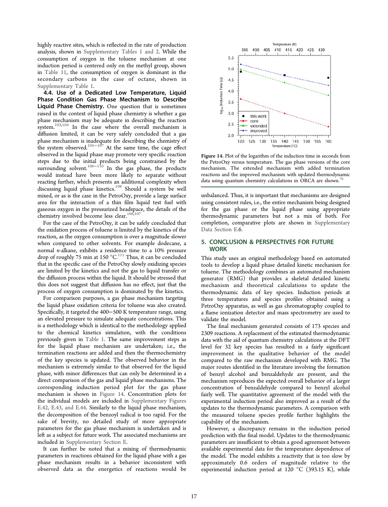highly reactive sites, which is reflected in the rate of production analysis, shown in [Supplementary Tables 1 and 2](http://pubs.acs.org/doi/suppl/10.1021/acs.energyfuels.7b00416/suppl_file/ef7b00416_si_001.pdf). While the consumption of oxygen in the toluene mechanism at one induction period is centered only on the methyl group, shown in [Table 11](#page-16-0), the consumption of oxygen is dominant in the secondary carbons in the case of octane, shown in [Supplementary Table 1](http://pubs.acs.org/doi/suppl/10.1021/acs.energyfuels.7b00416/suppl_file/ef7b00416_si_001.pdf).

4.4. Use of a Dedicated Low Temperature, Liquid Phase Condition Gas Phase Mechanism to Describe Liquid Phase Chemistry. One question that is sometimes raised in the context of liquid phase chemistry is whether a gas phase mechanism may be adequate in describing the reaction system.[103,104](#page-21-0) In the case where the overall mechanism is diffusion limited, it can be very safely concluded that a gas phase mechanism is inadequate for describing the chemistry of the system observed.<sup>[105](#page-21-0)−[107](#page-21-0)</sup> At the same time, the cage effect observed in the liquid phase may promote very specific reaction steps due to the initial products being constrained by the surrounding solvent.<sup>[108](#page-21-0)−[110](#page-21-0)</sup> In the gas phase, the products would instead have been more likely to separate without reacting further, which presents an additional complexity when discussing liquid phase kinetics.<sup>[108](#page-21-0)</sup> Should a system be well mixed, or as is the case in the PetroOxy, provide a large surface area for the interaction of a thin film liquid test fuel with gaseous oxygen in the pressurized headspace, the details of the chemistry involved become less clear.<sup>[106](#page-21-0),[107](#page-21-0)</sup>

For the case of the PetroOxy, it can be safely concluded that the oxidation process of toluene is limited by the kinetics of the reaction, as the oxygen consumption is over a magnitude slower when compared to other solvents. For example dodecane, a normal *n*-alkane, exhibits a residence time to a 10% pressure drop of roughly 75 min at 150 °C.<sup>[111](#page-21-0)</sup> Thus, it can be concluded that in the specific case of the PetroOxy slowly oxidizing species are limited by the kinetics and not the gas to liquid transfer or the diffusion process within the liquid. It should be stressed that this does not suggest that diffusion has no effect, just that the process of oxygen consumption is dominated by the kinetics.

For comparison purposes, a gas phase mechanism targeting the liquid phase oxidation criteria for toluene was also created. Specifically, it targeted the 400−500 K temperature range, using an elevated pressure to simulate adequate concentrations. This is a methodology which is identical to the methodology applied to the chemical kinetics simulation, with the conditions previously given in [Table 1.](#page-4-0) The same improvement steps as for the liquid phase mechanism are undertaken; i.e., the termination reactions are added and then the thermochemistry of the key species is updated. The observed behavior in the mechanism is extremely similar to that observed for the liquid phase, with minor differences that can only be determined in a direct comparison of the gas and liquid phase mechanisms. The corresponding induction period plot for the gas phase mechanism is shown in Figure 14. Concentration plots for the individual models are included in [Supplementary Figures](http://pubs.acs.org/doi/suppl/10.1021/acs.energyfuels.7b00416/suppl_file/ef7b00416_si_001.pdf) [E.42, E.43, and E.44.](http://pubs.acs.org/doi/suppl/10.1021/acs.energyfuels.7b00416/suppl_file/ef7b00416_si_001.pdf) Similarly to the liquid phase mechanism, the decomposition of the benzoyl radical is too rapid. For the sake of brevity, no detailed study of more appropriate parameters for the gas phase mechanism is undertaken and is left as a subject for future work. The associated mechanisms are included in [Supplementary Section E.](http://pubs.acs.org/doi/suppl/10.1021/acs.energyfuels.7b00416/suppl_file/ef7b00416_si_001.pdf)

It can further be noted that a mixing of thermodynamic parameters in reactions obtained for the liquid phase with a gas phase mechanism results in a behavior inconsistent with observed data as the energetics of reactions would be



Figure 14. Plot of the logarithm of the induction time in seconds from the PetroOxy versus temperature. The gas phase versions of the core mechanism. The extended mechanism with added termination reactions and the improved mechanism with updated thermodynamic data using quantum chemistry calculations in ORCA are shown.<sup>[76](#page-20-0)</sup>

unbalanced. Thus, it is important that mechanisms are designed using consistent rules, i.e., the entire mechanism being designed for the gas phase or the liquid phase using appropriate thermodynamic parameters but not a mix of both. For completion, comparative plots are shown in [Supplementary](http://pubs.acs.org/doi/suppl/10.1021/acs.energyfuels.7b00416/suppl_file/ef7b00416_si_001.pdf) [Data Section E.6](http://pubs.acs.org/doi/suppl/10.1021/acs.energyfuels.7b00416/suppl_file/ef7b00416_si_001.pdf).

### 5. CONCLUSION & PERSPECTIVES FOR FUTURE **WORK**

This study uses an original methodology based on automated tools to develop a liquid phase detailed kinetic mechanism for toluene. The methodology combines an automated mechanism generator (RMG) that provides a skeletal detailed kinetic mechanism and theoretical calculations to update the thermodynamic data of key species. Induction periods at three temperatures and species profiles obtained using a PetroOxy apparatus, as well as gas chromatography coupled to a flame ionization detector and mass spectrometry are used to validate the model.

The final mechanism generated consists of 173 species and 2309 reactions. A replacement of the estimated thermodynamic data with the aid of quantum chemistry calculations at the DFT level for 32 key species has resulted in a fairly significant improvement in the qualitative behavior of the model compared to the raw mechanism developed with RMG. The major routes identified in the literature involving the formation of benzyl alcohol and benzaldehyde are present, and the mechanism reproduces the expected overall behavior of a larger concentration of benzaldehyde compared to benzyl alcohol fairly well. The quantitative agreement of the model with the experimental induction period also improved as a result of the updates to the thermodynamic parameters. A comparison with the measured toluene species profile further highlights the capability of the mechanism.

However, a discrepancy remains in the induction period prediction with the final model. Updates to the thermodynamic parameters are insufficient to obtain a good agreement between available experimental data for the temperature dependence of the model. The model exhibits a reactivity that is too slow by approximately 0.6 orders of magnitude relative to the experimental induction period at 120  $^{\circ}$ C (393.15 K), while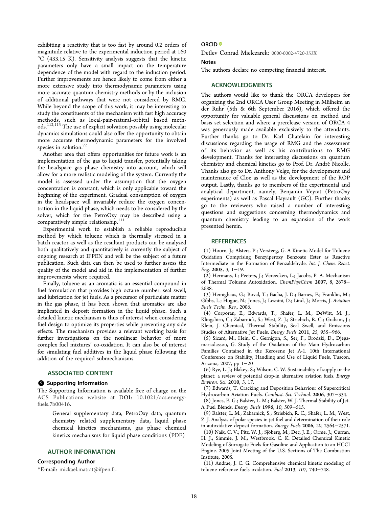<span id="page-18-0"></span>exhibiting a reactivity that is too fast by around 0.2 orders of magnitude relative to the experimental induction period at 160  $^{\circ}$ C (433.15 K). Sensitivity analysis suggests that the kinetic parameters only have a small impact on the temperature dependence of the model with regard to the induction period. Further improvements are hence likely to come from either a more extensive study into thermodynamic parameters using more accurate quantum chemistry methods or by the inclusion of additional pathways that were not considered by RMG. While beyond the scope of this work, it may be interesting to study the constituents of the mechanism with fast high accuracy methods, such as local-pair-natural-orbital based methods.[112](#page-21-0),[113](#page-21-0) The use of explicit solvation possibly using molecular dynamics simulations could also offer the opportunity to obtain more accurate thermodynamic parameters for the involved species in solution.<sup>[72](#page-20-0)</sup>

Another area that offers opportunities for future work is an implementation of the gas to liquid transfer, potentially taking the headspace gas phase chemistry into account, which will allow for a more realistic modeling of the system. Currently the model is assessed under the assumption that the oxygen concentration is constant, which is only applicable toward the beginning of the experiment. Gradual consumption of oxygen in the headspace will invariably reduce the oxygen concentration in the liquid phase, which needs to be considered by the solver, which for the PetroOxy may be described using a comparatively simple relationship.<sup>[111](#page-21-0)</sup>

Experimental work to establish a reliable reproducible method by which toluene which is thermally stressed in a batch reactor as well as the resultant products can be analyzed both qualitatively and quantitatively is currently the subject of ongoing research at IFPEN and will be the subject of a future publication. Such data can then be used to further assess the quality of the model and aid in the implementation of further improvements where required.

Finally, toluene as an aromatic is an essential compound in fuel formulation that provides high octane number, seal swell, and lubrication for jet fuels. As a precursor of particulate matter in the gas phase, it has been shown that aromatics are also implicated in deposit formation in the liquid phase. Such a detailed kinetic mechanism is thus of interest when considering fuel design to optimize its properties while preventing any side effects. The mechanism provides a relevant working basis for further investigations on the nonlinear behavior of more complex fuel mixtures' co-oxidation. It can also be of interest for simulating fuel additives in the liquid phase following the addition of the required submechanisms.

#### ASSOCIATED CONTENT

#### **6** Supporting Information

The Supporting Information is available free of charge on the [ACS Publications website](http://pubs.acs.org) at DOI: [10.1021/acs.energy](http://pubs.acs.org/doi/abs/10.1021/acs.energyfuels.7b00416)[fuels.7b00416.](http://pubs.acs.org/doi/abs/10.1021/acs.energyfuels.7b00416)

General supplementary data, PetroOxy data, quantum chemistry related supplementary data, liquid phase chemical kinetics mechanisms, gas phase chemical kinetics mechanisms for liquid phase conditions [\(PDF](http://pubs.acs.org/doi/suppl/10.1021/acs.energyfuels.7b00416/suppl_file/ef7b00416_si_001.pdf))

#### AUTHOR INFORMATION

#### Corresponding Author

\*E-mail: [mickael.matrat@ifpen.fr](mailto:mickael.matrat@ifpen.fr).

#### ORCID<sup>®</sup>

Detlev Conrad Mielczarek: [0000-0002-4720-353X](http://orcid.org/0000-0002-4720-353X)

#### **Notes**

The authors declare no competing financial interest.

#### ACKNOWLEDGMENTS

The authors would like to thank the ORCA developers for organizing the 2nd ORCA User Group Meeting in Mülheim an der Ruhr (5th & 6th September 2016), which offered the opportunity for valuable general discussions on method and basis set selection and where a prerelease version of ORCA 4 was generously made available exclusively to the attendants. Further thanks go to Dr. Karl Chatelain for interesting discussions regarding the usage of RMG and the assessment of its behavior as well as his contributions to RMG development. Thanks for interesting discussions on quantum chemistry and chemical kinetics go to Prof. Dr. André Nicolle. Thanks also go to Dr. Anthony Velge, for the development and maintenance of Cloe as well as the development of the ROP output. Lastly, thanks go to members of the experimental and analytical department, namely, Benjamin Veyrat (PetroOxy experiments) as well as Pascal Hayrault (GC). Further thanks go to the reviewers who raised a number of interesting questions and suggestions concerning thermodynamics and quantum chemistry leading to an expansion of the work presented herein.

#### **REFERENCES**

(1) Hoorn, J.; Alsters, P.; Versteeg, G. A Kinetic Model for Toluene Oxidation Comprising Benzylperoxy Benzoate Ester as Reactive Intermediate in the Formation of Benzaldehyde. *Int. J. Chem. React. Eng.* 2005, *3*, 1−19.

(2) Hermans, I.; Peeters, J.; Vereecken, L.; Jacobs, P. A. Mechanism of Thermal Toluene Autoxidation. *ChemPhysChem* 2007, *8*, 2678− 2688.

(3) Hemighaus, G.; Boval, T.; Bacha, J. D.; Barnes, F.; Franklin, M.; Gibbs, L.; Hogue, N.; Jones, J.; Lesnini, D.; Lind, J.; Morris, J. *Aviation Fuels Techn. Rev.*, 2006.

(4) Corporan, E.; Edwards, T.; Shafer, L. M.; DeWitt, M. J.; Klingshirn, C.; Zabarnick, S.; West, Z. J.; Striebich, R. C.; Graham, J.; Klein, J. Chemical, Thermal Stability, Seal Swell, and Emissions Studies of Alternative Jet Fuels. *Energy Fuels* 2011, *25*, 955−966.

(5) Sicard, M.; Hein, C.; Gernigon, S.; Ser, F.; Brodzki, D.; Djegamariadassou, G. Study of the Oxidation of the Main Hydrocarbon Families Contained in the Kerosene Jet A-1. 10th International Conference on Stability, Handling and Use of Liquid Fuels, Tuscon, Arizona, 2007, pp 1−20

(6) Rye, L. J.; Blakey, S.; Wilson, C. W. Sustainability of supply or the planet: a review of potential drop-in alternative aviation fuels. *Energy Environ. Sci.* 2010, *3*, 17.

(7) Edwards, T. Cracking and Deposition Behaviour of Supercritical Hydrocarbon Aviation Fuels. *Combust. Sci. Technol.* 2006, 307−334.

(8) Jones, E. G.; Balster, L. M.; Balster, W. J. Thermal Stability of Jet-A Fuel Blends. *Energy Fuels* 1996, *10*, 509−515.

(9) Balster, L. M.; Zabarnick, S.; Striebich, R. C.; Shafer, L. M.; West, Z. J. Analysis of polar species in jet fuel and determination of their role in autoxidative deposit formation. *Energy Fuels* 2006, *20*, 2564−2571.

(10) Naik, C. V.; Pitz, W. J.; Sjöberg, M.; Dec, J. E.; Orme, J.; Curran, H. J.; Simmie, J. M.; Westbrook, C. K. Detailed Chemical Kinetic Modeling of Surrogate Fuels for Gasoline and Application to an HCCI Engine. 2005 Joint Meeting of the U.S. Sections of The Combustion Institute, 2005.

(11) Andrae, J. C. G. Comprehensive chemical kinetic modeling of toluene reference fuels oxidation. *Fuel* 2013, *107*, 740−748.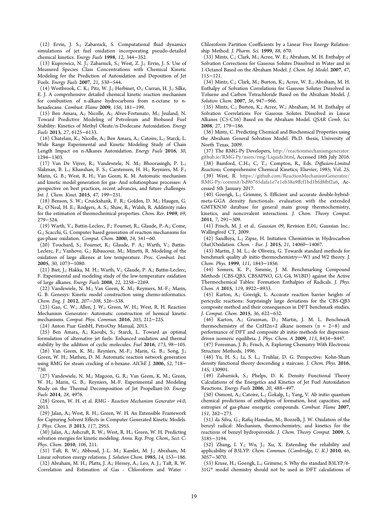<span id="page-19-0"></span>(12) Ervin, J. S.; Zabarnick, S. Computational fluid dynamics simulations of jet fuel oxidation incorporating pseudo-detailed chemical kinetics. *Energy Fuels* 1998, *12*, 344−352.

(13) Kuprowicz, N. J.; Zabarnick, S.; West, Z. J.; Ervin, J. S. Use of Measured Species Class Concentrations with Chemical Kinetic Modeling for the Prediction of Autoxidation and Deposition of Jet Fuels. *Energy Fuels* 2007, *21*, 530−544.

(14) Westbrook, C. K.; Pitz, W. J.; Herbinet, O.; Curran, H. J.; Silke, E. J. A comprehensive detailed chemical kinetic reaction mechanism for combustion of n-alkane hydrocarbons from n-octane to nhexadecane. *Combust. Flame* 2009, *156*, 181−199.

(15) Ben Amara, A.; Nicolle, A.; Alves-Fortunato, M.; Jeuland, N. Toward Predictive Modeling of Petroleum and Biobased Fuel Stability: Kinetics of Methyl Oleate/n-Dodecane Autoxidation. *Energy Fuels* 2013, *27*, 6125−6133.

(16) Chatelain, K.; Nicolle, A.; Ben Amara, A.; Catoire, L.; Starck, L. Wide Range Experimental and Kinetic Modeling Study of Chain Length Impact on n-Alkanes Autoxidation. *Energy Fuels* 2016, *30*, 1294−1303.

(17) Van De Vijver, R.; Vandewiele, N. M.; Bhoorasingh, P. L.; Slakman, B. L.; Khanshan, F. S.; Carstensen, H. H.; Reyniers, M. F.; Marin, G. B.; West, R. H.; Van Geem, K. M. Automatic mechanism and kinetic model generation for gas- And solutionphase processes: A perspective on best practices, recent advances, and future challenges. *Int. J. Chem. Kinet.* 2015, *47*, 199−231.

(18) Benson, S. W.; Cruickshank, F. R.; Golden, D. M.; Haugen, G. R.; O'Neal, H. E.; Rodgers, A. S.; Shaw, R.; Walsh, R. Additivity rules for the estimation of thermochemical properties. *Chem. Rev.* 1969, *69*, 279−324.

(19) Warth, V.; Battin-Leclerc, F.; Fournet, R.; Glaude, P.-A.; Come, G.; Scacchi, G. Computer based generation of reaction mechanisms for gas-phase oxidation. *Comput. Chem.* 2000, *24*, 541−60.

(20) Touchard, S.; Fournet, R.; Glaude, P. A.; Warth, V.; Battin-Leclerc, F.; Vanhove, G.; Ribaucour, M.; Minetti, R. Modeling of the oxidation of large alkenes at low temperature. *Proc. Combust. Inst.* 2005, *30*, 1073−1080.

(21) Biet, J.; Hakka, M. H.; Warth, V.; Glaude, P. A.; Battin-Leclerc, F. Experimental and modeling study of the low-temperature oxidation of large alkanes. *Energy Fuels* 2008, *22*, 2258−2269.

(22) Vandewiele, N. M.; Van Geem, K. M.; Reyniers, M.-F.; Marin, G. B. Genesys: Kinetic model construction using chemo-informatics. *Chem. Eng. J.* 2012, *207*−*208*, 526−538.

(23) Gao, C. W.; Allen, J. W.; Green, W. H.; West, R. H. Reaction Mechanism Generator: Automatic construction of hemical kinetic mechanisms. *Comput. Phys. Commun.* 2016, *203*, 212−225.

(24) Anton Paar GmbH, PetroOxy Manual, 2013.

(25) Ben Amara, A.; Kaoubi, S.; Starck, L. Toward an optimal formulation of alternative jet fuels: Enhanced oxidation and thermal stability by the addition of cyclic molecules. *Fuel* 2016, *173*, 98−105.

(26) Van Geem, K. M.; Reyniers, M.-F.; Marin, G. B.; Song, J.; Green, W. H.; Matheu, D. M. Automatic reaction network generation using RMG for steam cracking of n-hexane. *AIChE J.* 2006, *52*, 718− 730.

(27) Vandewiele, N. M.; Magoon, G. R.; Van Geem, K. M.; Green, W. H.; Marin, G. B.; Reyniers, M.-F. Experimental and Modeling Study on the Thermal Decomposition of Jet Propellant-10. *Energy Fuels* 2014, *28*, 4976.

(28) Green, W. H. et al. *RMG - Reaction Mechanism Generator v4.0*, 2013.

(29) Jalan, A.; West, R. H.; Green, W. H. An Extensible Framework for Capturing Solvent Effects in Computer Generated Kinetic Models. *J. Phys. Chem. B* 2013, *117*, 2955.

(30) Jalan, A.; Ashcraft, R. W.; West, R. H.; Green, W. H. Predicting solvation energies for kinetic modeling. *Annu. Rep. Prog. Chem., Sect. C: Phys. Chem.* 2010, *106*, 211.

(31) Taft, R. W.; Abboud, J.-L. M.; Kamlet, M. J.; Abraham, M. Linear solvation energy relations. *J. Solution Chem.* 1985, *14*, 153−186. (32) Abraham, M. H.; Platts, J. A.; Hersey, A.; Leo, A. J.; Taft, R. W.

Correlation and Estimation of Gas - Chloroform and Water -

Chloroform Partition Coefficients by a Linear Free Energy Relationship Method. *J. Pharm. Sci.* 1999, *88*, 670.

(33) Mintz, C.; Clark, M.; Acree, W. E.; Abraham, M. H. Enthalpy of Solvation Corrections for Gaseous Solutes Dissolved in Water and in 1-Octanol Based on the Abraham Model. *J. Chem. Inf. Model.* 2007, *47*, 115−121.

(34) Mintz, C.; Clark, M.; Burton, K.; Acree, W. E.; Abraham, M. H. Enthalpy of Solvation Correlations for Gaseous Solutes Dissolved in Toluene and Carbon Tetrachloride Based on the Abraham Model. *J. Solution Chem.* 2007, *36*, 947−966.

(35) Mintz, C.; Burton, K.; Acree, W.; Abraham, M. H. Enthalpy of Solvation Correlations For Gaseous Solutes Dissolved in Linear Alkanes (C5-C16) Based on the Abraham Model. *QSAR Comb. Sci.* 2008, *27*, 179−186.

(36) Mintz, C. Predicting Chemical and Biochemical Properties using the Abraham General Solvation Model. Ph.D. thesis, University of North Texas, 2009.

(37) The RMG-Py Developers, [http://reactionmechanismgenerator.](http://reactionmechanismgenerator.github.io/RMG-Py/users/rmg/Liquids.html) [github.io/RMG-Py/users/rmg/Liquids.html,](http://reactionmechanismgenerator.github.io/RMG-Py/users/rmg/Liquids.html) Accessed 18th July 2016. (38) Bamford, C.H.; C, T.; Compton, R., Eds. *Di*ff*usion-Limited*

*Reactions*; Comprehensive Chemical Kinetics; Elsevier, 1985; Vol. *25*. (39) West, R. [https://github.com/ReactionMechanismGenerator/](https://github.com/ReactionMechanismGenerator/RMG-Py/commit/bd96765dafa1e7e1eb38a9ffcf1bd1bfd8fbf2a6) [RMG-Py/commit/bd96765dafa1e7e1eb38a9](https://github.com/ReactionMechanismGenerator/RMG-Py/commit/bd96765dafa1e7e1eb38a9ffcf1bd1bfd8fbf2a6)ffcf1bd1bfd8fbf2a6, Accessed 5th January 2017.

(40) Goerigk, L.; Grimme, S. Efficient and accurate double-hybridmeta-GGA density functionals- evaluation with the extended GMTKN30 database for general main group thermochemistry, kinetics, and noncovalent interactions. *J. Chem. Theory Comput.* 2011, *7*, 291−309.

(41) Frisch, M. J. et al.. *Gaussian 09*, Revision E.01; Gaussian Inc.: Wallingford CT, 2009.

(42) Sandhiya, L.; Zipse, H. Initiation Chemistries in Hydrocarbon (Aut)Oxidation. *Chem. - Eur. J.* 2015, *21*, 14060−14067.

(43) Martin, J. M. L.; de Oliveira, G. Towards standard methods for benchmark quality ab initio thermochemistry-W1 and W2 theory. *J. Chem. Phys.* 1999, *111*, 1843−1856.

(44) Somers, K. P.; Simmie, J. M. Benchmarking Compound Methods (CBS-QB3, CBSAPNO, G3, G4, W1BD) against the Active Thermochemical Tables: Formation Enthalpies of Radicals. *J. Phys. Chem. A* 2015, *119*, 8922−8933.

(45) Karton, A.; Goerigk, L. Accurate reaction barrier heights of pericyclic reactions: Surprisingly large deviations for the CBS-QB3 composite method and their consequences in DFT benchmark studies. *J. Comput. Chem.* 2015, *36*, 622−632.

(46) Karton, A.; Gruzman, D.; Martin, J. M. L. Benchmark thermochemistry of the CnH2n+2 alkane isomers (n = 2−8) and performance of DFT and composite ab initio methods for dispersiondriven isomeric equilibria. *J. Phys. Chem. A* 2009, *113*, 8434−8447.

(47) Foresman, J. B.; Frisch, A. Exploring Chemistry With Electronic Structure Methods, 1996.

(48) Yu, H. S.; Li, S. L.; Truhlar, D. G. Perspective: Kohn-Sham density functional theory descending a staircase. *J. Chem. Phys.* 2016, *145*, 130901.

(49) Zabarnick, S.; Phelps, D. K. Density Functional Theory Calculations of the Energetics and Kinetics of Jet Fuel Autoxidation Reactions. *Energy Fuels* 2006, *20*, 488−497.

(50) Osmont, A.; Catoire, L.; G̈okalp, I.; Yang, V. Ab initio quantum chemical predictions of enthalpies of formation, heat capacities, and entropies of gas-phase energetic compounds. *Combust. Flame* 2007, *151*, 262−273.

(51) da Silva, G.; Rafiq Hamdan, M.; Bozzelli, J. W. Oxidation of the benzyl radical: Mechanism, thermochemistry, and kinetics for the reactions of benzyl hydroperoxide. *J. Chem. Theory Comput.* 2009, *5*, 3185−3194.

(52) Zhang, I. Y.; Wu, J.; Xu, X. Extending the reliability and applicability of B3LYP. *Chem. Commun. (Cambridge, U. K.)* 2010, *46*, 3057−3070.

(53) Kruse, H.; Goerigk, L.; Grimme, S. Why the standard B3LYP/6- 31G\* model chemistry should not be used in DFT calculations of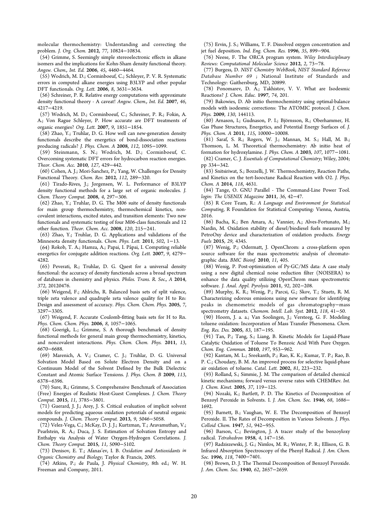<span id="page-20-0"></span>molecular thermochemistry: Understanding and correcting the problem. *J. Org. Chem.* 2012, *77*, 10824−10834.

(54) Grimme, S. Seemingly simple stereoelectronic effects in alkane isomers and the implications for Kohn-Sham density functional theory. *Angew. Chem., Int. Ed.* 2006, *45*, 4460−4464.

(55) Wodrich, M. D.; Corminboeuf, C.; Schleyer, P. V. R. Systematic errors in computed alkane energies using B3LYP and other popular DFT functionals. *Org. Lett.* 2006, *8*, 3631−3634.

(56) Schreiner, P. R. Relative energy computations with approximate density functional theory - A caveat! *Angew. Chem., Int. Ed.* 2007, *46*, 4217−4219.

(57) Wodrich, M. D.; Corminboeuf, C.; Schreiner, P. R.; Fokin, A. A.; Von Rague Schleyer, P. How accurate are DFT treatments of organic energies? *Org. Lett.* 2007, *9*, 1851−1854.

(58) Zhao, Y.; Truhlar, D. G. How well can new-generation density functionals describe the energetics of bond-dissociation reactions producing radicals? *J. Phys. Chem. A* 2008, *112*, 1095−1099.

(59) Steinmann, S. N.; Wodrich, M. D.; Corminboeuf, C. Overcoming systematic DFT errors for hydrocarbon reaction energies. *Theor. Chem. Acc.* 2010, *127*, 429−442.

(60) Cohen, A. J.; Mori-Śanchez, P.; Yang, W. Challenges for Density Functional Theory. *Chem. Rev.* 2012, *112*, 289−320.

(61) Tirado-Rives, J.; Jorgensen, W. L. Performance of B3LYP density functional methods for a large set of organic molecules. *J. Chem. Theory Comput.* 2008, *4*, 297−306.

(62) Zhao, Y.; Truhlar, D. G. The M06 suite of density functionals for main group thermochemistry, thermochemical kinetics, noncovalent interactions, excited states, and transition elements: Two new functionals and systematic testing of four M06-class functionals and 12 other function. *Theor. Chem. Acc.* 2008, *120*, 215−241.

(63) Zhao, Y.; Truhlar, D. G. Applications and validations of the Minnesota density functionals. *Chem. Phys. Lett.* 2011, *502*, 1−13.

(64) Rokob, T. A.; Hamza, A.; Papai, I. Papai, I. Computing reliable ́ energetics for conjugate addition reactions. *Org. Lett.* 2007, *9*, 4279− 4282.

(65) Peverati, R.; Truhlar, D. G. Quest for a universal density functional: the accuracy of density functionals across a broad spectrum of databases in chemistry and physics. *Philos. Trans. R. Soc., A* 2014, *372*, 20120476.

(66) Weigend, F.; Ahlrichs, R. Balanced basis sets of split valence, triple zeta valence and quadruple zeta valence quality for H to Rn: Design and assessment of accuracy. *Phys. Chem. Chem. Phys.* 2005, *7*, 3297−3305.

(67) Weigend, F. Accurate Coulomb-fitting basis sets for H to Rn. *Phys. Chem. Chem. Phys.* 2006, *8*, 1057−1065.

(68) Goerigk, L.; Grimme, S. A thorough benchmark of density functional methods for general main group thermochemistry, kinetics, and noncovalent interactions. *Phys. Chem. Chem. Phys.* 2011, *13*, 6670−6688.

(69) Marenich, A. V.; Cramer, C. J.; Truhlar, D. G. Universal Solvation Model Based on Solute Electron Density and on a Continuum Model of the Solvent Defined by the Bulk Dielectric Constant and Atomic Surface Tensions. *J. Phys. Chem. B* 2009, *113*, 6378−6396.

(70) Sure, R.; Grimme, S. Comprehensive Benchmark of Association (Free) Energies of Realistic Host-Guest Complexes. *J. Chem. Theory Comput.* 2015, *11*, 3785−3801.

(71) Guerard, J. J.; Arey, J. S. Critical evaluation of implicit solvent models for predicting aqueous oxidation potentials of neutral organic compounds. *J. Chem. Theory Comput.* 2013, *9*, 5046−5058.

(72) Velez-Vega, C.; McKay, D. J. J.; Kurtzman, T.; Aravamuthan, V.; Pearlstein, R. A.; Duca, J. S. Estimation of Solvation Entropy and Enthalpy via Analysis of Water Oxygen-Hydrogen Correlations. *J. Chem. Theory Comput.* 2015, *11*, 5090−5102.

(73) Denisov, E. T.; Afanas'ev, I. B. *Oxidation and Antioxidants in Organic Chemistry and Biology*; Taylor & Francis, 2005.

(74) Atkins, P.; de Paula, J. *Physical Chemistry*, 8th ed.; W. H. Freeman and Company, 2011.

(75) Ervin, J. S.; Williams, T. F. Dissolved oxygen concentration and jet fuel deposition. *Ind. Eng. Chem. Res.* 1996, *35*, 899−904.

(76) Neese, F. The ORCA program system. *Wiley Interdisciplinary Reviews: Computational Molecular Science* 2012, *2*, 73−78.

(77) Burgess, D. *NIST Chemistry WebBook, NIST Standard Reference Database Number 69* ; National Institute of Standards and Technology: Gaithersburg, MD, 20899.

(78) Ponomarev, D. A.; Takhistov, V. V. What are Isodesmic Reactions? *J. Chem. Educ.* 1997, *74*, 201.

(79) Bakowies, D. Ab initio thermochemistry using optimal-balance models with isodesmic corrections: The ATOMIC protocol. *J. Chem. Phys.* 2009, *130*, 144113.

(80) Arnason, I.; Gudnason, P. I.; Björnsson, R.; Oberhammer, H. Gas Phase Structures, Energetics, and Potential Energy Surfaces of. *J. Phys. Chem. A* 2011, *115*, 10000−10008.

(81) Saraf, S. R.; Rogers, W. J.; Mannan, M. S.; Hall, M. B.; Thomson, L. M. Theoretical thermochemistry: Ab initio heat of formation for hydroxylamine. *J. Phys. Chem. A* 2003, *107*, 1077−1081.

(82) Cramer, C. J. *Essentials of Computational Chemistry*; Wiley, 2004; pp 334−342.

(83) Snitsiriwat, S.; Bozzelli, J. W. Thermochemistry, Reaction Paths, and Kinetics on the tert-Isooctane Radical Reaction with O2. *J. Phys. Chem. A* 2014, *118*, 4631.

(84) Tange, O. GNU Parallel - The Command-Line Power Tool. *login: The USENIX Magazine* 2011, *36*, 42−47.

(85) R Core Team, R.: *A Language and Environment for Statistical Computing*, R Foundation for Statistical Computing: Vienna, Austria, 2016.

(86) Bacha, K.; Ben Amara, A.; Vannier, A.; Alves-Fortunato, M.; Nardin, M. Oxidation stability of diesel/biodiesel fuels measured by PetroOxy device and characterization of oxidation products. *Energy Fuels* 2015, *29*, 4345.

(87) Wenig, P.; Odermatt, J. OpenChrom: a cross-platform open source software for the mass spectrometric analysis of chromatographic data. *BMC Bioinf.* 2010, *11*, 405.

(88) Wenig, P. Post-optimization of Py-GC/MS data: A case study using a new digital chemical noise reduction filter (NOISERA) to enhance the data quality utilizing OpenChrom mass spectrometric software. *J. Anal. Appl. Pyrolysis* 2011, *92*, 202−208.

(89) Murphy, K. R.; Wenig, P.; Parcsi, G.; Skov, T.; Stuetz, R. M. Characterizing odorous emissions using new software for identifying peaks in chemometric models of gas chromatography−mass spectrometry datasets. *Chemom. Intell. Lab. Syst.* 2012, *118*, 41−50.

(90) Hoorn, J. a. a.; Van Soolingen, J.; Versteeg, G. F. Modeling toluene oxidation: Incorporation of Mass Transfer Phenomena. *Chem. Eng. Res. Des.* 2005, *83*, 187−195.

(91) Tan, P.; Tang, S.; Liang, B. Kinetic Models for Liquid-Phase Catalytic Oxidation of Toluene To Benzoic Acid With Pure Oxygen. *Chem. Eng. Commun.* 2010, *197*, 953−962.

(92) Kantam, M. L.; Sreekanth, P.; Rao, K. K.; Kumar, T. P.; Rao, B. P. C.; Choudary, B. M. An improved process for selective liquid-phase air oxidation of toluene. *Catal. Lett.* 2002, *81*, 223−232.

(93) Rolland, S.; Simmie, J. M. The comparison of detailed chemical kinetic mechanisms; forward versus reverse rates with CHEMRev. *Int. J. Chem. Kinet.* 2005, *37*, 119−125.

(94) Nozaki, K.; Bartlett, P. D. The Kinetics of Decomposition of Benzoyl Peroxide in Solvents. I. *J. Am. Chem. Soc.* 1946, *68*, 1686− 1692.

(95) Barnett, B.; Vaughan, W. E. The Decomposition of Benzoyl Peroxide. II. The Rates of Decomposition in Various Solvents. *J. Phys. Colloid Chem.* 1947, *51*, 942−955.

(96) Barson, C.; Bevington, J. A tracer study of the benzoyloxy radical. *Tetrahedron* 1958, *4*, 147−156.

(97) Radziszewski, J. G.; Nimlos, M. R.; Winter, P. R.; Ellison, G. B. Infrared Absorption Spectroscopy of the Phenyl Radical. *J. Am. Chem. Soc.* 1996, *118*, 7400−7401.

(98) Brown, D. J. The Thermal Decomposition of Benzoyl Peroxide. *J. Am. Chem. Soc.* 1940, *62*, 2657−2659.